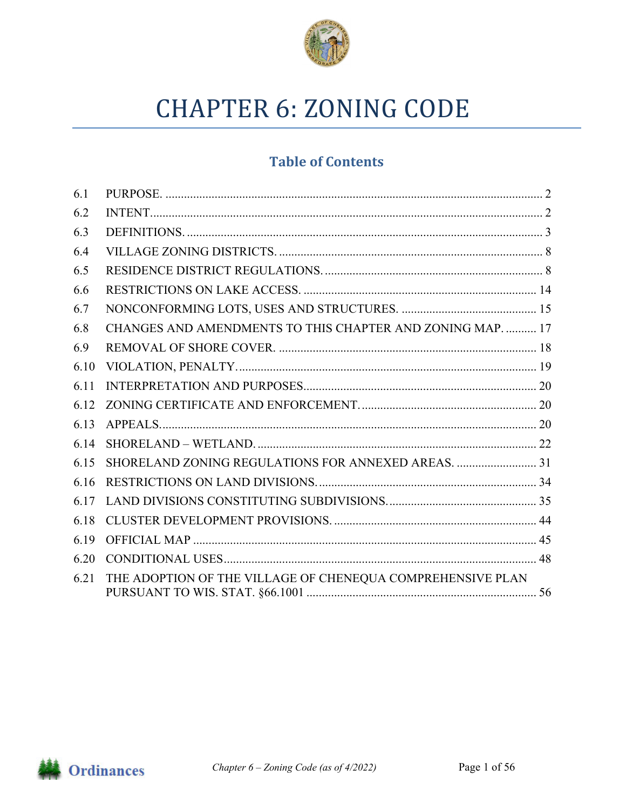

# **CHAPTER 6: ZONING CODE**

# **Table of Contents**

| 6.1  |                                                            |  |
|------|------------------------------------------------------------|--|
| 6.2  |                                                            |  |
| 6.3  |                                                            |  |
| 6.4  |                                                            |  |
| 6.5  |                                                            |  |
| 6.6  |                                                            |  |
| 6.7  |                                                            |  |
| 6.8  | CHANGES AND AMENDMENTS TO THIS CHAPTER AND ZONING MAP.  17 |  |
| 6.9  |                                                            |  |
| 6.10 |                                                            |  |
| 6.11 |                                                            |  |
| 6.12 |                                                            |  |
| 6.13 |                                                            |  |
| 6.14 |                                                            |  |
| 6.15 | SHORELAND ZONING REGULATIONS FOR ANNEXED AREAS. 31         |  |
| 6.16 |                                                            |  |
| 6.17 |                                                            |  |
| 6.18 |                                                            |  |
| 6.19 |                                                            |  |
| 6.20 |                                                            |  |
| 6.21 | THE ADOPTION OF THE VILLAGE OF CHENEQUA COMPREHENSIVE PLAN |  |

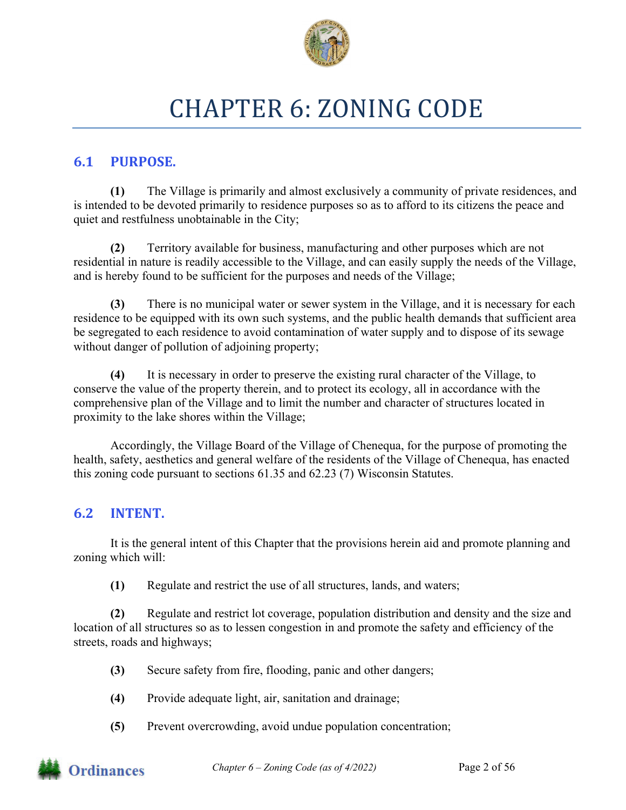

# CHAPTER 6: ZONING CODE

## **6.1 PURPOSE.**

**(1)** The Village is primarily and almost exclusively a community of private residences, and is intended to be devoted primarily to residence purposes so as to afford to its citizens the peace and quiet and restfulness unobtainable in the City;

**(2)** Territory available for business, manufacturing and other purposes which are not residential in nature is readily accessible to the Village, and can easily supply the needs of the Village, and is hereby found to be sufficient for the purposes and needs of the Village;

**(3)** There is no municipal water or sewer system in the Village, and it is necessary for each residence to be equipped with its own such systems, and the public health demands that sufficient area be segregated to each residence to avoid contamination of water supply and to dispose of its sewage without danger of pollution of adjoining property;

**(4)** It is necessary in order to preserve the existing rural character of the Village, to conserve the value of the property therein, and to protect its ecology, all in accordance with the comprehensive plan of the Village and to limit the number and character of structures located in proximity to the lake shores within the Village;

 Accordingly, the Village Board of the Village of Chenequa, for the purpose of promoting the health, safety, aesthetics and general welfare of the residents of the Village of Chenequa, has enacted this zoning code pursuant to sections 61.35 and 62.23 (7) Wisconsin Statutes.

## **6.2 INTENT.**

It is the general intent of this Chapter that the provisions herein aid and promote planning and zoning which will:

**(1)** Regulate and restrict the use of all structures, lands, and waters;

**(2)** Regulate and restrict lot coverage, population distribution and density and the size and location of all structures so as to lessen congestion in and promote the safety and efficiency of the streets, roads and highways;

- **(3)** Secure safety from fire, flooding, panic and other dangers;
- **(4)** Provide adequate light, air, sanitation and drainage;
- **(5)** Prevent overcrowding, avoid undue population concentration;

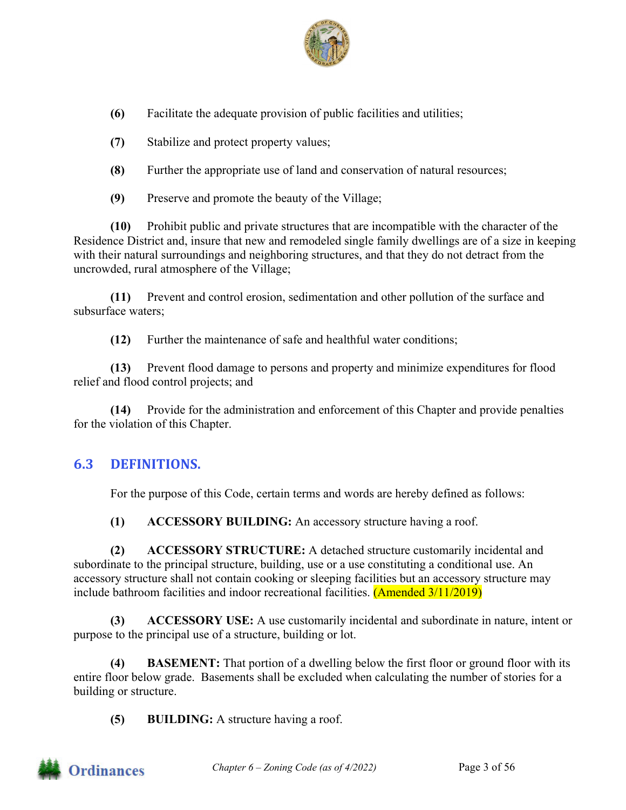

**(6)** Facilitate the adequate provision of public facilities and utilities;

- **(7)** Stabilize and protect property values;
- **(8)** Further the appropriate use of land and conservation of natural resources;
- **(9)** Preserve and promote the beauty of the Village;

**(10)** Prohibit public and private structures that are incompatible with the character of the Residence District and, insure that new and remodeled single family dwellings are of a size in keeping with their natural surroundings and neighboring structures, and that they do not detract from the uncrowded, rural atmosphere of the Village;

**(11)** Prevent and control erosion, sedimentation and other pollution of the surface and subsurface waters;

**(12)** Further the maintenance of safe and healthful water conditions;

**(13)** Prevent flood damage to persons and property and minimize expenditures for flood relief and flood control projects; and

**(14)** Provide for the administration and enforcement of this Chapter and provide penalties for the violation of this Chapter.

## **6.3 DEFINITIONS.**

For the purpose of this Code, certain terms and words are hereby defined as follows:

**(1) ACCESSORY BUILDING:** An accessory structure having a roof.

**(2) ACCESSORY STRUCTURE:** A detached structure customarily incidental and subordinate to the principal structure, building, use or a use constituting a conditional use. An accessory structure shall not contain cooking or sleeping facilities but an accessory structure may include bathroom facilities and indoor recreational facilities. (Amended 3/11/2019)

**(3) ACCESSORY USE:** A use customarily incidental and subordinate in nature, intent or purpose to the principal use of a structure, building or lot.

**(4) BASEMENT:** That portion of a dwelling below the first floor or ground floor with its entire floor below grade. Basements shall be excluded when calculating the number of stories for a building or structure.

**(5) BUILDING:** A structure having a roof.

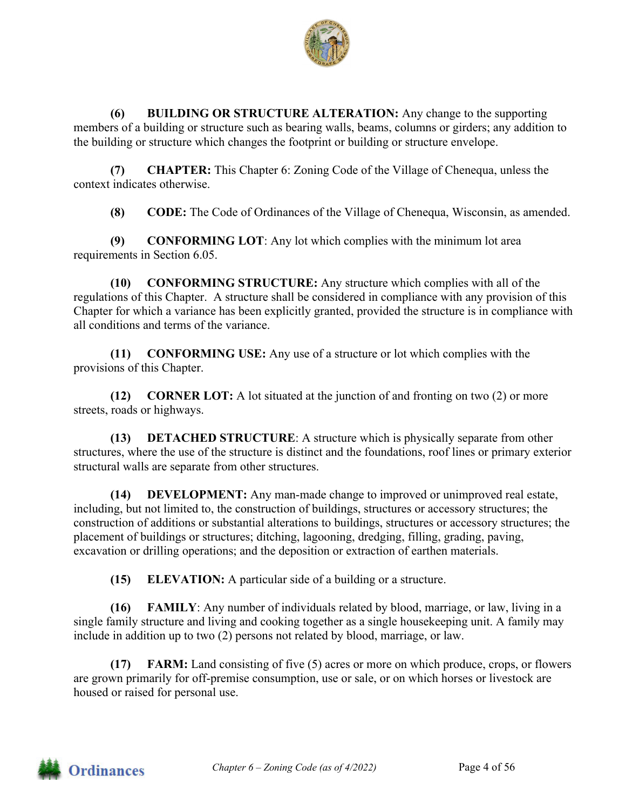

**(6) BUILDING OR STRUCTURE ALTERATION:** Any change to the supporting members of a building or structure such as bearing walls, beams, columns or girders; any addition to the building or structure which changes the footprint or building or structure envelope.

**(7) CHAPTER:** This Chapter 6: Zoning Code of the Village of Chenequa, unless the context indicates otherwise.

**(8) CODE:** The Code of Ordinances of the Village of Chenequa, Wisconsin, as amended.

**(9) CONFORMING LOT**: Any lot which complies with the minimum lot area requirements in Section 6.05.

**(10) CONFORMING STRUCTURE:** Any structure which complies with all of the regulations of this Chapter. A structure shall be considered in compliance with any provision of this Chapter for which a variance has been explicitly granted, provided the structure is in compliance with all conditions and terms of the variance.

**(11) CONFORMING USE:** Any use of a structure or lot which complies with the provisions of this Chapter.

**(12) CORNER LOT:** A lot situated at the junction of and fronting on two (2) or more streets, roads or highways.

**(13) DETACHED STRUCTURE**: A structure which is physically separate from other structures, where the use of the structure is distinct and the foundations, roof lines or primary exterior structural walls are separate from other structures.

**(14) DEVELOPMENT:** Any man-made change to improved or unimproved real estate, including, but not limited to, the construction of buildings, structures or accessory structures; the construction of additions or substantial alterations to buildings, structures or accessory structures; the placement of buildings or structures; ditching, lagooning, dredging, filling, grading, paving, excavation or drilling operations; and the deposition or extraction of earthen materials.

**(15) ELEVATION:** A particular side of a building or a structure.

**(16) FAMILY**: Any number of individuals related by blood, marriage, or law, living in a single family structure and living and cooking together as a single housekeeping unit. A family may include in addition up to two (2) persons not related by blood, marriage, or law.

**FARM:** Land consisting of five (5) acres or more on which produce, crops, or flowers are grown primarily for off-premise consumption, use or sale, or on which horses or livestock are housed or raised for personal use.

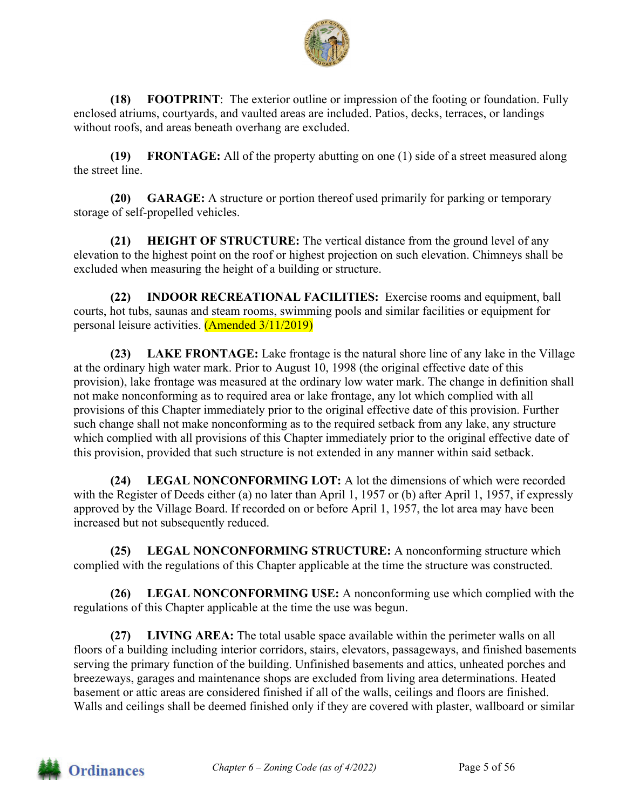

**(18) FOOTPRINT**: The exterior outline or impression of the footing or foundation. Fully enclosed atriums, courtyards, and vaulted areas are included. Patios, decks, terraces, or landings without roofs, and areas beneath overhang are excluded.

**(19) FRONTAGE:** All of the property abutting on one (1) side of a street measured along the street line.

**(20) GARAGE:** A structure or portion thereof used primarily for parking or temporary storage of self-propelled vehicles.

**(21) HEIGHT OF STRUCTURE:** The vertical distance from the ground level of any elevation to the highest point on the roof or highest projection on such elevation. Chimneys shall be excluded when measuring the height of a building or structure.

**(22) INDOOR RECREATIONAL FACILITIES:** Exercise rooms and equipment, ball courts, hot tubs, saunas and steam rooms, swimming pools and similar facilities or equipment for personal leisure activities. (Amended 3/11/2019)

**(23) LAKE FRONTAGE:** Lake frontage is the natural shore line of any lake in the Village at the ordinary high water mark. Prior to August 10, 1998 (the original effective date of this provision), lake frontage was measured at the ordinary low water mark. The change in definition shall not make nonconforming as to required area or lake frontage, any lot which complied with all provisions of this Chapter immediately prior to the original effective date of this provision. Further such change shall not make nonconforming as to the required setback from any lake, any structure which complied with all provisions of this Chapter immediately prior to the original effective date of this provision, provided that such structure is not extended in any manner within said setback.

**(24) LEGAL NONCONFORMING LOT:** A lot the dimensions of which were recorded with the Register of Deeds either (a) no later than April 1, 1957 or (b) after April 1, 1957, if expressly approved by the Village Board. If recorded on or before April 1, 1957, the lot area may have been increased but not subsequently reduced.

**(25) LEGAL NONCONFORMING STRUCTURE:** A nonconforming structure which complied with the regulations of this Chapter applicable at the time the structure was constructed.

**(26) LEGAL NONCONFORMING USE:** A nonconforming use which complied with the regulations of this Chapter applicable at the time the use was begun.

**(27) LIVING AREA:** The total usable space available within the perimeter walls on all floors of a building including interior corridors, stairs, elevators, passageways, and finished basements serving the primary function of the building. Unfinished basements and attics, unheated porches and breezeways, garages and maintenance shops are excluded from living area determinations. Heated basement or attic areas are considered finished if all of the walls, ceilings and floors are finished. Walls and ceilings shall be deemed finished only if they are covered with plaster, wallboard or similar

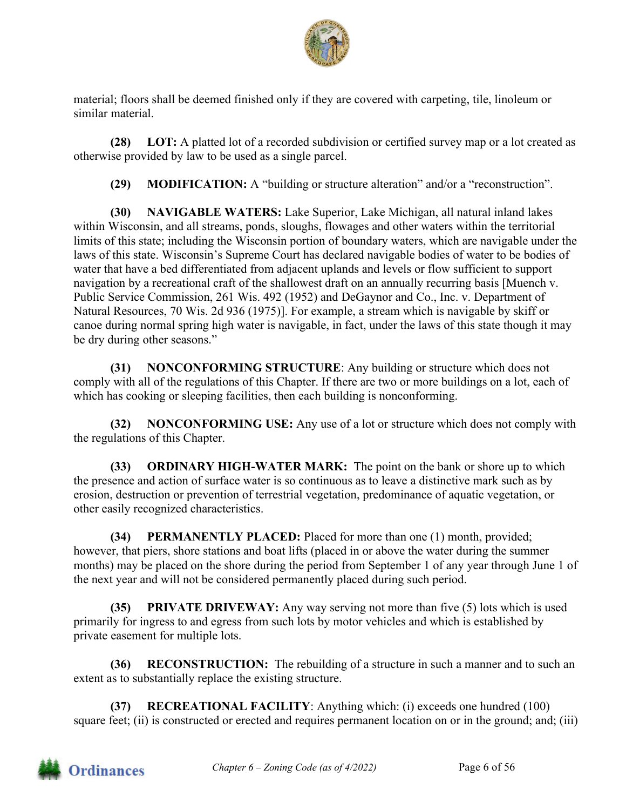

material; floors shall be deemed finished only if they are covered with carpeting, tile, linoleum or similar material.

**(28) LOT:** A platted lot of a recorded subdivision or certified survey map or a lot created as otherwise provided by law to be used as a single parcel.

**(29) MODIFICATION:** A "building or structure alteration" and/or a "reconstruction".

**(30) NAVIGABLE WATERS:** Lake Superior, Lake Michigan, all natural inland lakes within Wisconsin, and all streams, ponds, sloughs, flowages and other waters within the territorial limits of this state; including the Wisconsin portion of boundary waters, which are navigable under the laws of this state. Wisconsin's Supreme Court has declared navigable bodies of water to be bodies of water that have a bed differentiated from adjacent uplands and levels or flow sufficient to support navigation by a recreational craft of the shallowest draft on an annually recurring basis [Muench v. Public Service Commission, 261 Wis. 492 (1952) and DeGaynor and Co., Inc. v. Department of Natural Resources, 70 Wis. 2d 936 (1975)]. For example, a stream which is navigable by skiff or canoe during normal spring high water is navigable, in fact, under the laws of this state though it may be dry during other seasons."

**(31) NONCONFORMING STRUCTURE**: Any building or structure which does not comply with all of the regulations of this Chapter. If there are two or more buildings on a lot, each of which has cooking or sleeping facilities, then each building is nonconforming.

**(32) NONCONFORMING USE:** Any use of a lot or structure which does not comply with the regulations of this Chapter.

**(33) ORDINARY HIGH-WATER MARK:** The point on the bank or shore up to which the presence and action of surface water is so continuous as to leave a distinctive mark such as by erosion, destruction or prevention of terrestrial vegetation, predominance of aquatic vegetation, or other easily recognized characteristics.

**(34) PERMANENTLY PLACED:** Placed for more than one (1) month, provided; however, that piers, shore stations and boat lifts (placed in or above the water during the summer months) may be placed on the shore during the period from September 1 of any year through June 1 of the next year and will not be considered permanently placed during such period.

**(35) PRIVATE DRIVEWAY:** Any way serving not more than five (5) lots which is used primarily for ingress to and egress from such lots by motor vehicles and which is established by private easement for multiple lots.

**(36) RECONSTRUCTION:** The rebuilding of a structure in such a manner and to such an extent as to substantially replace the existing structure.

**(37) RECREATIONAL FACILITY**: Anything which: (i) exceeds one hundred (100) square feet; (ii) is constructed or erected and requires permanent location on or in the ground; and; (iii)

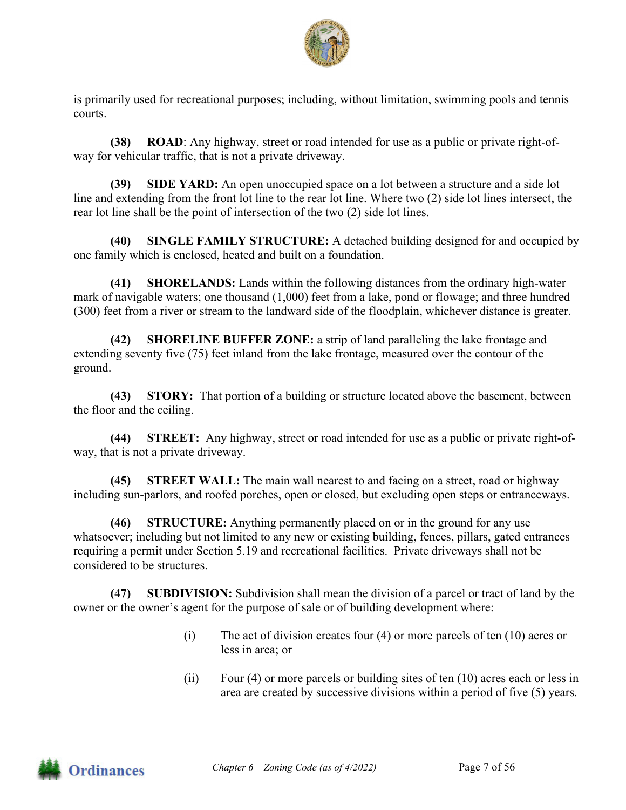

is primarily used for recreational purposes; including, without limitation, swimming pools and tennis courts.

**(38) ROAD**: Any highway, street or road intended for use as a public or private right-ofway for vehicular traffic, that is not a private driveway.

**(39) SIDE YARD:** An open unoccupied space on a lot between a structure and a side lot line and extending from the front lot line to the rear lot line. Where two (2) side lot lines intersect, the rear lot line shall be the point of intersection of the two (2) side lot lines.

**(40) SINGLE FAMILY STRUCTURE:** A detached building designed for and occupied by one family which is enclosed, heated and built on a foundation.

**(41) SHORELANDS:** Lands within the following distances from the ordinary high-water mark of navigable waters; one thousand (1,000) feet from a lake, pond or flowage; and three hundred (300) feet from a river or stream to the landward side of the floodplain, whichever distance is greater.

**(42) SHORELINE BUFFER ZONE:** a strip of land paralleling the lake frontage and extending seventy five (75) feet inland from the lake frontage, measured over the contour of the ground.

**(43) STORY:** That portion of a building or structure located above the basement, between the floor and the ceiling.

**(44) STREET:** Any highway, street or road intended for use as a public or private right-ofway, that is not a private driveway.

**(45) STREET WALL:** The main wall nearest to and facing on a street, road or highway including sun-parlors, and roofed porches, open or closed, but excluding open steps or entranceways.

**(46) STRUCTURE:** Anything permanently placed on or in the ground for any use whatsoever; including but not limited to any new or existing building, fences, pillars, gated entrances requiring a permit under Section 5.19 and recreational facilities. Private driveways shall not be considered to be structures.

**(47) SUBDIVISION:** Subdivision shall mean the division of a parcel or tract of land by the owner or the owner's agent for the purpose of sale or of building development where:

- (i) The act of division creates four (4) or more parcels of ten (10) acres or less in area; or
- (ii) Four (4) or more parcels or building sites of ten (10) acres each or less in area are created by successive divisions within a period of five (5) years.

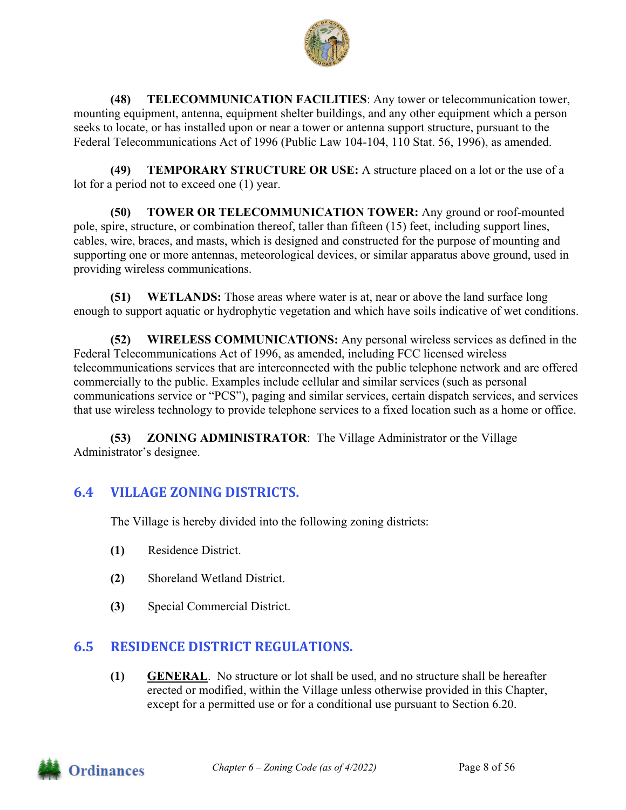

**(48) TELECOMMUNICATION FACILITIES**: Any tower or telecommunication tower, mounting equipment, antenna, equipment shelter buildings, and any other equipment which a person seeks to locate, or has installed upon or near a tower or antenna support structure, pursuant to the Federal Telecommunications Act of 1996 (Public Law 104-104, 110 Stat. 56, 1996), as amended.

**(49) TEMPORARY STRUCTURE OR USE:** A structure placed on a lot or the use of a lot for a period not to exceed one (1) year.

**(50) TOWER OR TELECOMMUNICATION TOWER:** Any ground or roof-mounted pole, spire, structure, or combination thereof, taller than fifteen (15) feet, including support lines, cables, wire, braces, and masts, which is designed and constructed for the purpose of mounting and supporting one or more antennas, meteorological devices, or similar apparatus above ground, used in providing wireless communications.

**(51) WETLANDS:** Those areas where water is at, near or above the land surface long enough to support aquatic or hydrophytic vegetation and which have soils indicative of wet conditions.

**(52) WIRELESS COMMUNICATIONS:** Any personal wireless services as defined in the Federal Telecommunications Act of 1996, as amended, including FCC licensed wireless telecommunications services that are interconnected with the public telephone network and are offered commercially to the public. Examples include cellular and similar services (such as personal communications service or "PCS"), paging and similar services, certain dispatch services, and services that use wireless technology to provide telephone services to a fixed location such as a home or office.

**(53) ZONING ADMINISTRATOR**: The Village Administrator or the Village Administrator's designee.

## **6.4 VILLAGE ZONING DISTRICTS.**

The Village is hereby divided into the following zoning districts:

- **(1)** Residence District.
- **(2)** Shoreland Wetland District.
- **(3)** Special Commercial District.

## **6.5 RESIDENCE DISTRICT REGULATIONS.**

**(1) GENERAL**. No structure or lot shall be used, and no structure shall be hereafter erected or modified, within the Village unless otherwise provided in this Chapter, except for a permitted use or for a conditional use pursuant to Section 6.20.

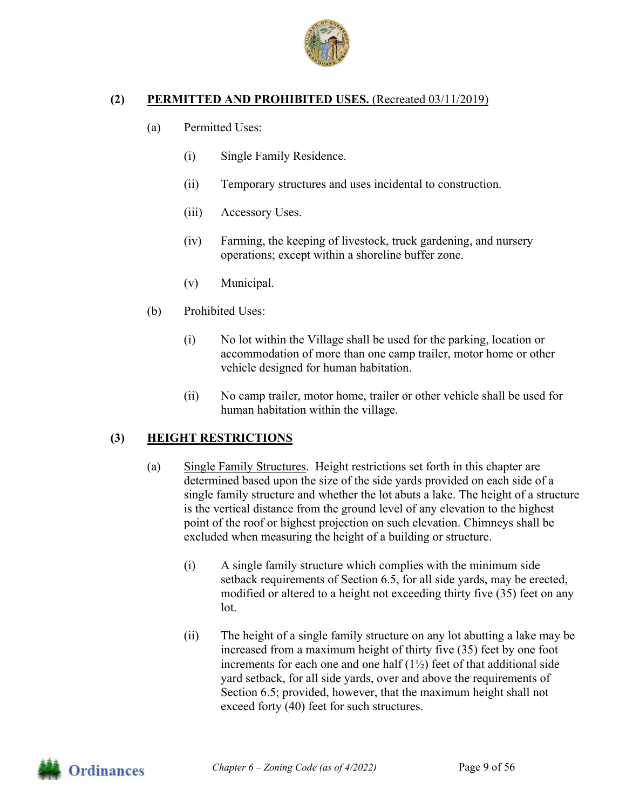

#### **(2) PERMITTED AND PROHIBITED USES.** (Recreated 03/11/2019)

- (a) Permitted Uses:
	- (i) Single Family Residence.
	- (ii) Temporary structures and uses incidental to construction.
	- (iii) Accessory Uses.
	- (iv) Farming, the keeping of livestock, truck gardening, and nursery operations; except within a shoreline buffer zone.
	- (v) Municipal.
- (b) Prohibited Uses:
	- (i) No lot within the Village shall be used for the parking, location or accommodation of more than one camp trailer, motor home or other vehicle designed for human habitation.
	- (ii) No camp trailer, motor home, trailer or other vehicle shall be used for human habitation within the village.

## **(3) HEIGHT RESTRICTIONS**

- (a) Single Family Structures. Height restrictions set forth in this chapter are determined based upon the size of the side yards provided on each side of a single family structure and whether the lot abuts a lake. The height of a structure is the vertical distance from the ground level of any elevation to the highest point of the roof or highest projection on such elevation. Chimneys shall be excluded when measuring the height of a building or structure.
	- (i) A single family structure which complies with the minimum side setback requirements of Section 6.5, for all side yards, may be erected, modified or altered to a height not exceeding thirty five (35) feet on any lot.
	- (ii) The height of a single family structure on any lot abutting a lake may be increased from a maximum height of thirty five (35) feet by one foot increments for each one and one half  $(1\frac{1}{2})$  feet of that additional side yard setback, for all side yards, over and above the requirements of Section 6.5; provided, however, that the maximum height shall not exceed forty (40) feet for such structures.

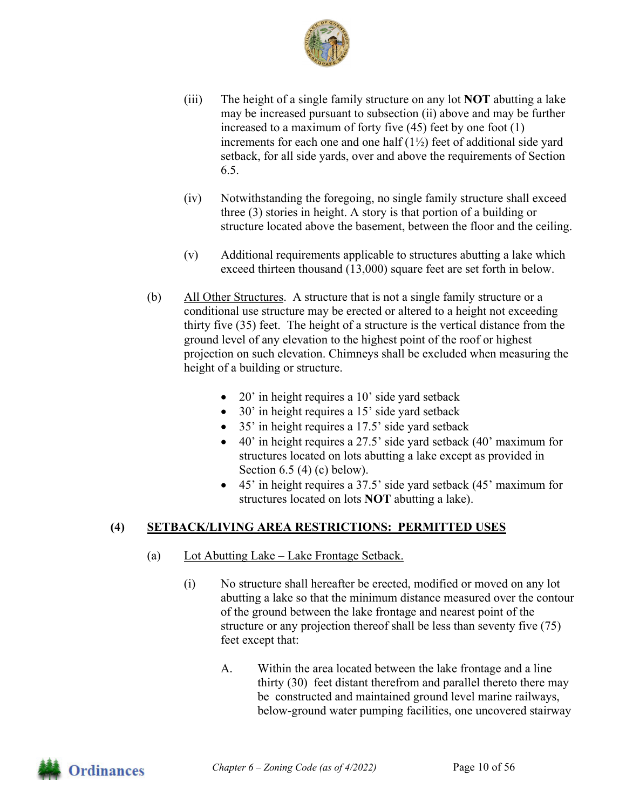

- (iii) The height of a single family structure on any lot **NOT** abutting a lake may be increased pursuant to subsection (ii) above and may be further increased to a maximum of forty five (45) feet by one foot (1) increments for each one and one half  $(1\frac{1}{2})$  feet of additional side yard setback, for all side yards, over and above the requirements of Section 6.5.
- (iv) Notwithstanding the foregoing, no single family structure shall exceed three (3) stories in height. A story is that portion of a building or structure located above the basement, between the floor and the ceiling.
- (v) Additional requirements applicable to structures abutting a lake which exceed thirteen thousand (13,000) square feet are set forth in below.
- (b) All Other Structures. A structure that is not a single family structure or a conditional use structure may be erected or altered to a height not exceeding thirty five (35) feet. The height of a structure is the vertical distance from the ground level of any elevation to the highest point of the roof or highest projection on such elevation. Chimneys shall be excluded when measuring the height of a building or structure.
	- 20' in height requires a 10' side yard setback
	- 30' in height requires a 15' side yard setback
	- 35' in height requires a 17.5' side yard setback
	- 40' in height requires a 27.5' side yard setback (40' maximum for structures located on lots abutting a lake except as provided in Section  $6.5$  (4) (c) below).
	- 45' in height requires a 37.5' side yard setback (45' maximum for structures located on lots **NOT** abutting a lake).

## **(4) SETBACK/LIVING AREA RESTRICTIONS: PERMITTED USES**

- (a) Lot Abutting Lake Lake Frontage Setback.
	- (i) No structure shall hereafter be erected, modified or moved on any lot abutting a lake so that the minimum distance measured over the contour of the ground between the lake frontage and nearest point of the structure or any projection thereof shall be less than seventy five (75) feet except that:
		- A. Within the area located between the lake frontage and a line thirty (30) feet distant therefrom and parallel thereto there may be constructed and maintained ground level marine railways, below-ground water pumping facilities, one uncovered stairway

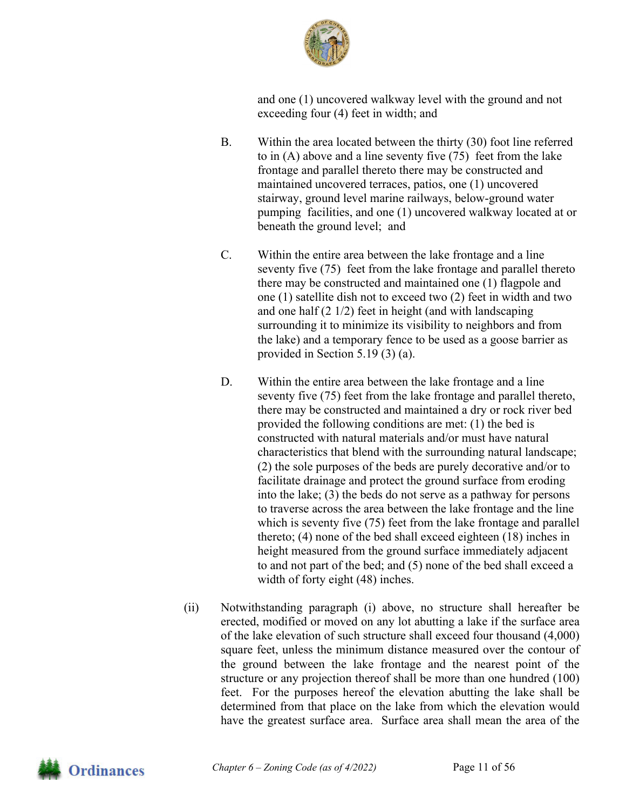

and one (1) uncovered walkway level with the ground and not exceeding four (4) feet in width; and

- B. Within the area located between the thirty (30) foot line referred to in (A) above and a line seventy five (75) feet from the lake frontage and parallel thereto there may be constructed and maintained uncovered terraces, patios, one (1) uncovered stairway, ground level marine railways, below-ground water pumping facilities, and one (1) uncovered walkway located at or beneath the ground level; and
- C. Within the entire area between the lake frontage and a line seventy five (75) feet from the lake frontage and parallel thereto there may be constructed and maintained one (1) flagpole and one (1) satellite dish not to exceed two (2) feet in width and two and one half (2 1/2) feet in height (and with landscaping surrounding it to minimize its visibility to neighbors and from the lake) and a temporary fence to be used as a goose barrier as provided in Section 5.19 (3) (a).
- D. Within the entire area between the lake frontage and a line seventy five (75) feet from the lake frontage and parallel thereto, there may be constructed and maintained a dry or rock river bed provided the following conditions are met: (1) the bed is constructed with natural materials and/or must have natural characteristics that blend with the surrounding natural landscape; (2) the sole purposes of the beds are purely decorative and/or to facilitate drainage and protect the ground surface from eroding into the lake; (3) the beds do not serve as a pathway for persons to traverse across the area between the lake frontage and the line which is seventy five (75) feet from the lake frontage and parallel thereto; (4) none of the bed shall exceed eighteen (18) inches in height measured from the ground surface immediately adjacent to and not part of the bed; and (5) none of the bed shall exceed a width of forty eight (48) inches.
- (ii) Notwithstanding paragraph (i) above, no structure shall hereafter be erected, modified or moved on any lot abutting a lake if the surface area of the lake elevation of such structure shall exceed four thousand (4,000) square feet, unless the minimum distance measured over the contour of the ground between the lake frontage and the nearest point of the structure or any projection thereof shall be more than one hundred (100) feet. For the purposes hereof the elevation abutting the lake shall be determined from that place on the lake from which the elevation would have the greatest surface area. Surface area shall mean the area of the

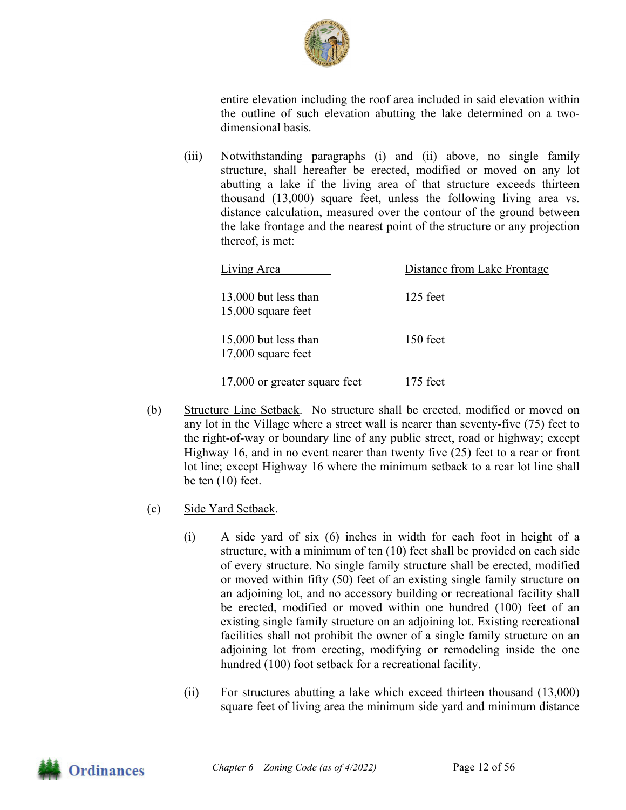

entire elevation including the roof area included in said elevation within the outline of such elevation abutting the lake determined on a twodimensional basis.

(iii) Notwithstanding paragraphs (i) and (ii) above, no single family structure, shall hereafter be erected, modified or moved on any lot abutting a lake if the living area of that structure exceeds thirteen thousand (13,000) square feet, unless the following living area vs. distance calculation, measured over the contour of the ground between the lake frontage and the nearest point of the structure or any projection thereof, is met:

| Living Area                                  | Distance from Lake Frontage |
|----------------------------------------------|-----------------------------|
| 13,000 but less than<br>$15,000$ square feet | $125$ feet                  |
| 15,000 but less than<br>$17,000$ square feet | 150 feet                    |
| 17,000 or greater square feet                | $175$ feet                  |

- (b) Structure Line Setback. No structure shall be erected, modified or moved on any lot in the Village where a street wall is nearer than seventy-five (75) feet to the right-of-way or boundary line of any public street, road or highway; except Highway 16, and in no event nearer than twenty five (25) feet to a rear or front lot line; except Highway 16 where the minimum setback to a rear lot line shall be ten (10) feet.
- (c) Side Yard Setback.
	- (i) A side yard of six (6) inches in width for each foot in height of a structure, with a minimum of ten (10) feet shall be provided on each side of every structure. No single family structure shall be erected, modified or moved within fifty (50) feet of an existing single family structure on an adjoining lot, and no accessory building or recreational facility shall be erected, modified or moved within one hundred (100) feet of an existing single family structure on an adjoining lot. Existing recreational facilities shall not prohibit the owner of a single family structure on an adjoining lot from erecting, modifying or remodeling inside the one hundred (100) foot setback for a recreational facility.
	- (ii) For structures abutting a lake which exceed thirteen thousand (13,000) square feet of living area the minimum side yard and minimum distance

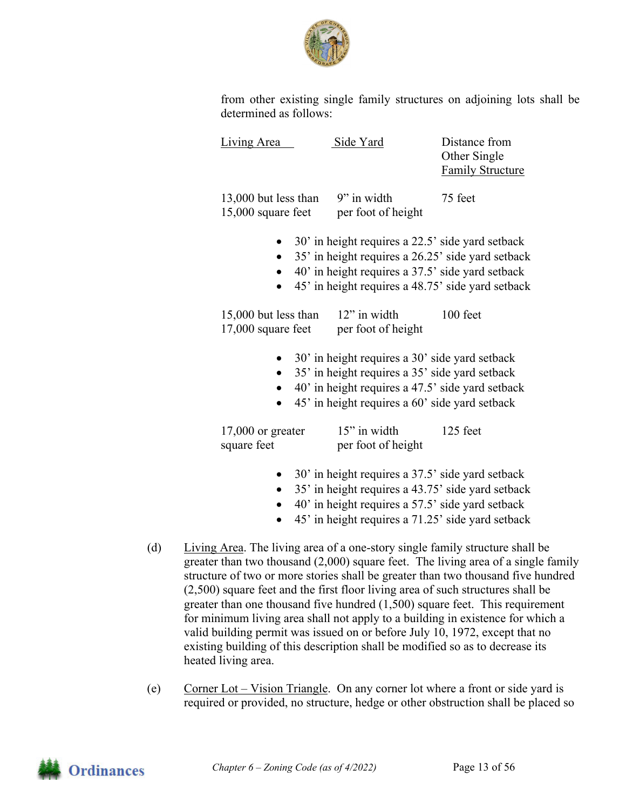

from other existing single family structures on adjoining lots shall be determined as follows:

| Living Area                                  | Side Yard                                                                                                                                                                                                      | Distance from<br>Other Single<br><b>Family Structure</b> |
|----------------------------------------------|----------------------------------------------------------------------------------------------------------------------------------------------------------------------------------------------------------------|----------------------------------------------------------|
| 13,000 but less than<br>$15,000$ square feet | 9" in width<br>per foot of height                                                                                                                                                                              | 75 feet                                                  |
| $\bullet$<br>$\bullet$                       | 30' in height requires a 22.5' side yard setback<br>35' in height requires a 26.25' side yard setback<br>40' in height requires a 37.5' side yard setback<br>45' in height requires a 48.75' side yard setback |                                                          |
| 15,000 but less than<br>17,000 square feet   | $12$ " in width<br>per foot of height                                                                                                                                                                          | 100 feet                                                 |
| $\bullet$                                    | 30' in height requires a 30' side yard setback<br>35' in height requires a 35' side yard setback<br>40' in height requires a 47.5' side yard setback<br>45' in height requires a 60' side yard setback         |                                                          |
| $17,000$ or greater<br>square feet           | 15" in width<br>per foot of height                                                                                                                                                                             | 125 feet                                                 |
| $\bullet$<br>$\bullet$                       | 30' in height requires a 37.5' side yard setback<br>35' in height requires a 43.75' side yard setback<br>40' in height requires a 57.5' side yard setback                                                      |                                                          |

- 45' in height requires a 71.25' side yard setback
- (d) Living Area. The living area of a one-story single family structure shall be greater than two thousand (2,000) square feet. The living area of a single family structure of two or more stories shall be greater than two thousand five hundred (2,500) square feet and the first floor living area of such structures shall be greater than one thousand five hundred (1,500) square feet. This requirement for minimum living area shall not apply to a building in existence for which a valid building permit was issued on or before July 10, 1972, except that no existing building of this description shall be modified so as to decrease its heated living area.
- (e) Corner Lot Vision Triangle. On any corner lot where a front or side yard is required or provided, no structure, hedge or other obstruction shall be placed so

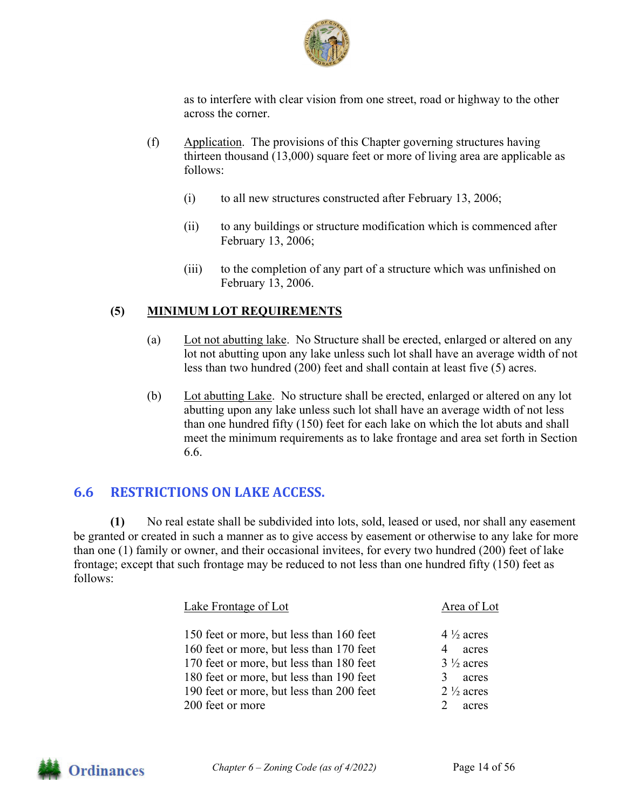

as to interfere with clear vision from one street, road or highway to the other across the corner.

- (f) Application. The provisions of this Chapter governing structures having thirteen thousand (13,000) square feet or more of living area are applicable as follows:
	- (i) to all new structures constructed after February 13, 2006;
	- (ii) to any buildings or structure modification which is commenced after February 13, 2006;
	- (iii) to the completion of any part of a structure which was unfinished on February 13, 2006.

#### **(5) MINIMUM LOT REQUIREMENTS**

- (a) Lot not abutting lake. No Structure shall be erected, enlarged or altered on any lot not abutting upon any lake unless such lot shall have an average width of not less than two hundred (200) feet and shall contain at least five (5) acres.
- (b) Lot abutting Lake. No structure shall be erected, enlarged or altered on any lot abutting upon any lake unless such lot shall have an average width of not less than one hundred fifty (150) feet for each lake on which the lot abuts and shall meet the minimum requirements as to lake frontage and area set forth in Section 6.6.

## **6.6 RESTRICTIONS ON LAKE ACCESS.**

**(1)** No real estate shall be subdivided into lots, sold, leased or used, nor shall any easement be granted or created in such a manner as to give access by easement or otherwise to any lake for more than one (1) family or owner, and their occasional invitees, for every two hundred (200) feet of lake frontage; except that such frontage may be reduced to not less than one hundred fifty (150) feet as follows:

| Lake Frontage of Lot                                                                                                             | Area of Lot                                                |
|----------------------------------------------------------------------------------------------------------------------------------|------------------------------------------------------------|
| 150 feet or more, but less than 160 feet<br>160 feet or more, but less than 170 feet<br>170 feet or more, but less than 180 feet | $4\frac{1}{2}$ acres<br>4<br>acres<br>$3\frac{1}{2}$ acres |
| 180 feet or more, but less than 190 feet<br>190 feet or more, but less than 200 feet<br>200 feet or more                         | acres<br>$2\frac{1}{2}$ acres<br>acres                     |

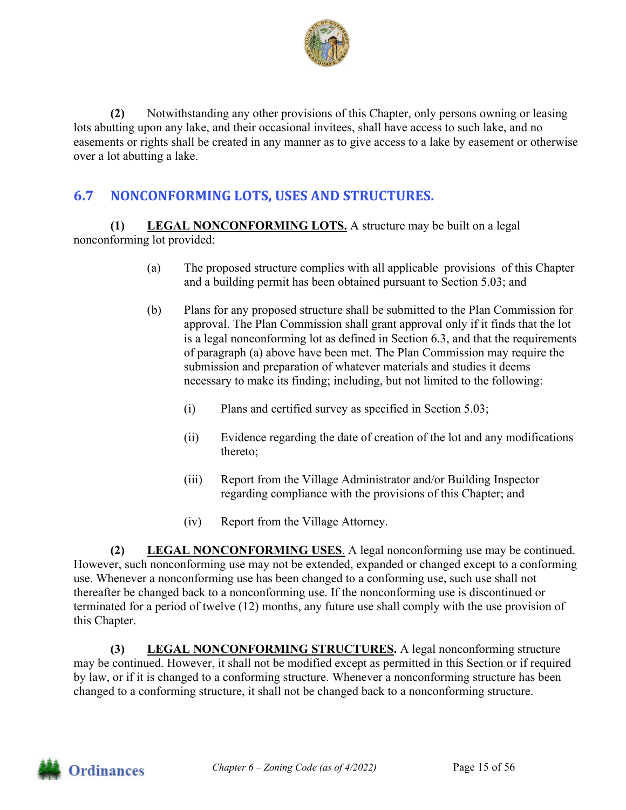

**(2)** Notwithstanding any other provisions of this Chapter, only persons owning or leasing lots abutting upon any lake, and their occasional invitees, shall have access to such lake, and no easements or rights shall be created in any manner as to give access to a lake by easement or otherwise over a lot abutting a lake.

## **6.7 NONCONFORMING LOTS, USES AND STRUCTURES.**

**(1) LEGAL NONCONFORMING LOTS.** A structure may be built on a legal nonconforming lot provided:

- (a) The proposed structure complies with all applicable provisions of this Chapter and a building permit has been obtained pursuant to Section 5.03; and
- (b) Plans for any proposed structure shall be submitted to the Plan Commission for approval. The Plan Commission shall grant approval only if it finds that the lot is a legal nonconforming lot as defined in Section 6.3, and that the requirements of paragraph (a) above have been met. The Plan Commission may require the submission and preparation of whatever materials and studies it deems necessary to make its finding; including, but not limited to the following:
	- (i) Plans and certified survey as specified in Section 5.03;
	- (ii) Evidence regarding the date of creation of the lot and any modifications thereto;
	- (iii) Report from the Village Administrator and/or Building Inspector regarding compliance with the provisions of this Chapter; and
	- (iv) Report from the Village Attorney.

**(2) LEGAL NONCONFORMING USES**. A legal nonconforming use may be continued. However, such nonconforming use may not be extended, expanded or changed except to a conforming use. Whenever a nonconforming use has been changed to a conforming use, such use shall not thereafter be changed back to a nonconforming use. If the nonconforming use is discontinued or terminated for a period of twelve (12) months, any future use shall comply with the use provision of this Chapter.

**(3) LEGAL NONCONFORMING STRUCTURES.** A legal nonconforming structure may be continued. However, it shall not be modified except as permitted in this Section or if required by law, or if it is changed to a conforming structure. Whenever a nonconforming structure has been changed to a conforming structure, it shall not be changed back to a nonconforming structure.

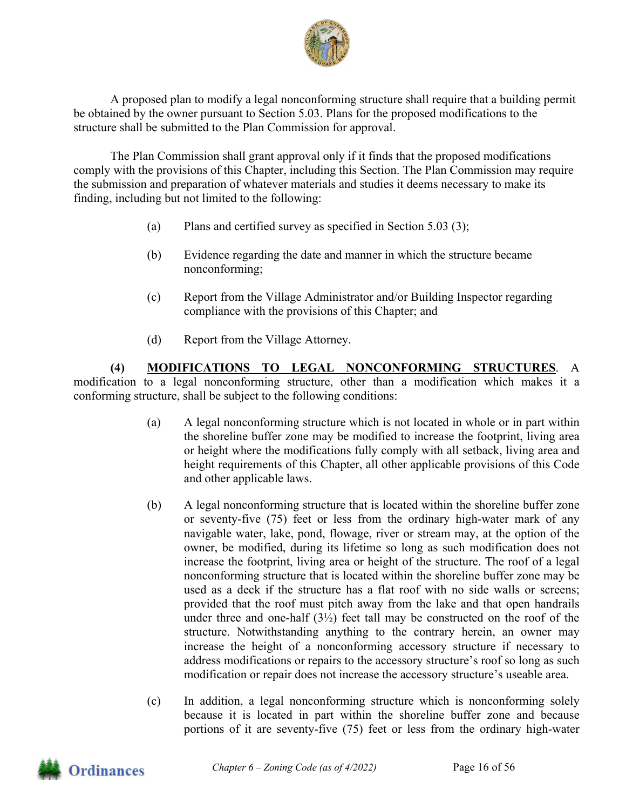

 A proposed plan to modify a legal nonconforming structure shall require that a building permit be obtained by the owner pursuant to Section 5.03. Plans for the proposed modifications to the structure shall be submitted to the Plan Commission for approval.

The Plan Commission shall grant approval only if it finds that the proposed modifications comply with the provisions of this Chapter, including this Section. The Plan Commission may require the submission and preparation of whatever materials and studies it deems necessary to make its finding, including but not limited to the following:

- (a) Plans and certified survey as specified in Section 5.03 (3);
- (b) Evidence regarding the date and manner in which the structure became nonconforming;
- (c) Report from the Village Administrator and/or Building Inspector regarding compliance with the provisions of this Chapter; and
- (d) Report from the Village Attorney.

**(4) MODIFICATIONS TO LEGAL NONCONFORMING STRUCTURES**. A modification to a legal nonconforming structure, other than a modification which makes it a conforming structure, shall be subject to the following conditions:

- (a) A legal nonconforming structure which is not located in whole or in part within the shoreline buffer zone may be modified to increase the footprint, living area or height where the modifications fully comply with all setback, living area and height requirements of this Chapter, all other applicable provisions of this Code and other applicable laws.
- (b) A legal nonconforming structure that is located within the shoreline buffer zone or seventy-five (75) feet or less from the ordinary high-water mark of any navigable water, lake, pond, flowage, river or stream may, at the option of the owner, be modified, during its lifetime so long as such modification does not increase the footprint, living area or height of the structure. The roof of a legal nonconforming structure that is located within the shoreline buffer zone may be used as a deck if the structure has a flat roof with no side walls or screens; provided that the roof must pitch away from the lake and that open handrails under three and one-half  $(3\frac{1}{2})$  feet tall may be constructed on the roof of the structure. Notwithstanding anything to the contrary herein, an owner may increase the height of a nonconforming accessory structure if necessary to address modifications or repairs to the accessory structure's roof so long as such modification or repair does not increase the accessory structure's useable area.
- (c) In addition, a legal nonconforming structure which is nonconforming solely because it is located in part within the shoreline buffer zone and because portions of it are seventy-five (75) feet or less from the ordinary high-water

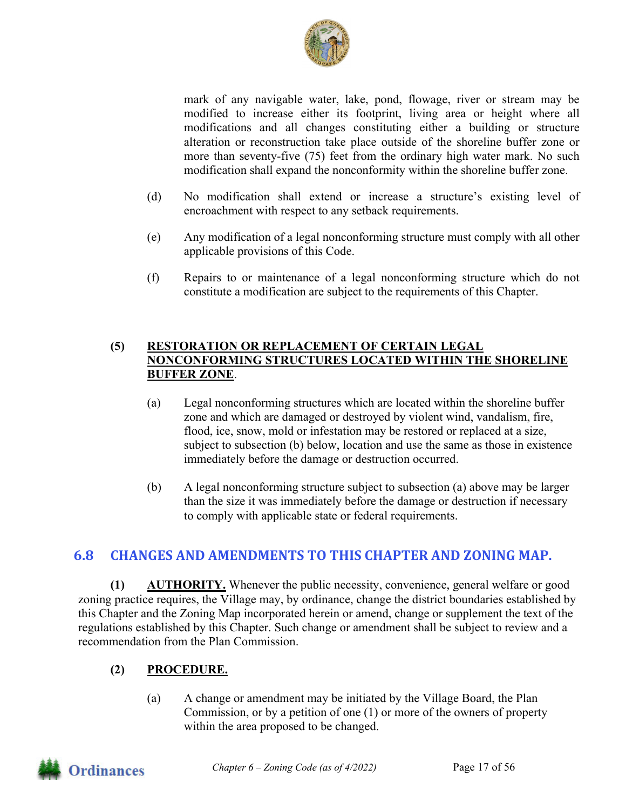

mark of any navigable water, lake, pond, flowage, river or stream may be modified to increase either its footprint, living area or height where all modifications and all changes constituting either a building or structure alteration or reconstruction take place outside of the shoreline buffer zone or more than seventy-five (75) feet from the ordinary high water mark. No such modification shall expand the nonconformity within the shoreline buffer zone.

- (d) No modification shall extend or increase a structure's existing level of encroachment with respect to any setback requirements.
- (e) Any modification of a legal nonconforming structure must comply with all other applicable provisions of this Code.
- (f) Repairs to or maintenance of a legal nonconforming structure which do not constitute a modification are subject to the requirements of this Chapter.

#### **(5) RESTORATION OR REPLACEMENT OF CERTAIN LEGAL NONCONFORMING STRUCTURES LOCATED WITHIN THE SHORELINE BUFFER ZONE**.

- (a) Legal nonconforming structures which are located within the shoreline buffer zone and which are damaged or destroyed by violent wind, vandalism, fire, flood, ice, snow, mold or infestation may be restored or replaced at a size, subject to subsection (b) below, location and use the same as those in existence immediately before the damage or destruction occurred.
- (b) A legal nonconforming structure subject to subsection (a) above may be larger than the size it was immediately before the damage or destruction if necessary to comply with applicable state or federal requirements.

## **6.8 CHANGES AND AMENDMENTS TO THIS CHAPTER AND ZONING MAP.**

**(1) AUTHORITY.** Whenever the public necessity, convenience, general welfare or good zoning practice requires, the Village may, by ordinance, change the district boundaries established by this Chapter and the Zoning Map incorporated herein or amend, change or supplement the text of the regulations established by this Chapter. Such change or amendment shall be subject to review and a recommendation from the Plan Commission.

## **(2) PROCEDURE.**

(a) A change or amendment may be initiated by the Village Board, the Plan Commission, or by a petition of one (1) or more of the owners of property within the area proposed to be changed.

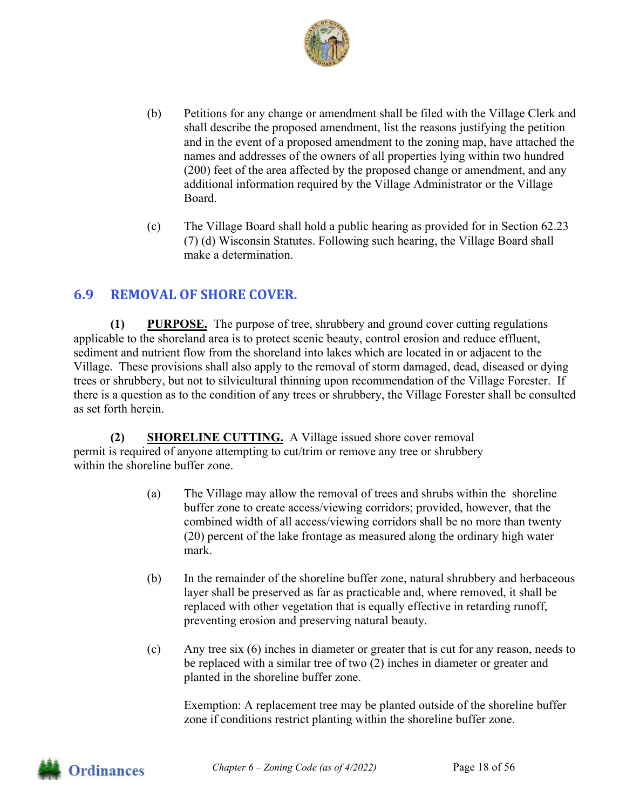

- (b) Petitions for any change or amendment shall be filed with the Village Clerk and shall describe the proposed amendment, list the reasons justifying the petition and in the event of a proposed amendment to the zoning map, have attached the names and addresses of the owners of all properties lying within two hundred (200) feet of the area affected by the proposed change or amendment, and any additional information required by the Village Administrator or the Village Board.
- (c) The Village Board shall hold a public hearing as provided for in Section 62.23 (7) (d) Wisconsin Statutes. Following such hearing, the Village Board shall make a determination.

## **6.9 REMOVAL OF SHORE COVER.**

**(1) PURPOSE.** The purpose of tree, shrubbery and ground cover cutting regulations applicable to the shoreland area is to protect scenic beauty, control erosion and reduce effluent, sediment and nutrient flow from the shoreland into lakes which are located in or adjacent to the Village. These provisions shall also apply to the removal of storm damaged, dead, diseased or dying trees or shrubbery, but not to silvicultural thinning upon recommendation of the Village Forester. If there is a question as to the condition of any trees or shrubbery, the Village Forester shall be consulted as set forth herein.

**(2) SHORELINE CUTTING.** A Village issued shore cover removal permit is required of anyone attempting to cut/trim or remove any tree or shrubbery within the shoreline buffer zone.

- (a) The Village may allow the removal of trees and shrubs within the shoreline buffer zone to create access/viewing corridors; provided, however, that the combined width of all access/viewing corridors shall be no more than twenty (20) percent of the lake frontage as measured along the ordinary high water mark.
- (b) In the remainder of the shoreline buffer zone, natural shrubbery and herbaceous layer shall be preserved as far as practicable and, where removed, it shall be replaced with other vegetation that is equally effective in retarding runoff, preventing erosion and preserving natural beauty.
- (c) Any tree six (6) inches in diameter or greater that is cut for any reason, needs to be replaced with a similar tree of two (2) inches in diameter or greater and planted in the shoreline buffer zone.

Exemption: A replacement tree may be planted outside of the shoreline buffer zone if conditions restrict planting within the shoreline buffer zone.

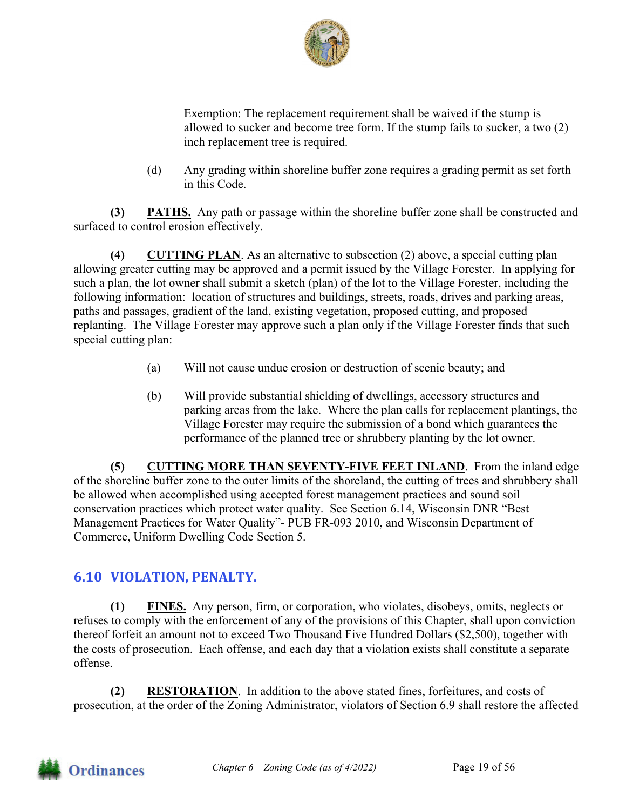

Exemption: The replacement requirement shall be waived if the stump is allowed to sucker and become tree form. If the stump fails to sucker, a two (2) inch replacement tree is required.

(d) Any grading within shoreline buffer zone requires a grading permit as set forth in this Code.

**(3) PATHS.** Any path or passage within the shoreline buffer zone shall be constructed and surfaced to control erosion effectively.

**(4) CUTTING PLAN**. As an alternative to subsection (2) above, a special cutting plan allowing greater cutting may be approved and a permit issued by the Village Forester. In applying for such a plan, the lot owner shall submit a sketch (plan) of the lot to the Village Forester, including the following information: location of structures and buildings, streets, roads, drives and parking areas, paths and passages, gradient of the land, existing vegetation, proposed cutting, and proposed replanting. The Village Forester may approve such a plan only if the Village Forester finds that such special cutting plan:

- (a) Will not cause undue erosion or destruction of scenic beauty; and
- (b) Will provide substantial shielding of dwellings, accessory structures and parking areas from the lake. Where the plan calls for replacement plantings, the Village Forester may require the submission of a bond which guarantees the performance of the planned tree or shrubbery planting by the lot owner.

**(5) CUTTING MORE THAN SEVENTY-FIVE FEET INLAND**. From the inland edge of the shoreline buffer zone to the outer limits of the shoreland, the cutting of trees and shrubbery shall be allowed when accomplished using accepted forest management practices and sound soil conservation practices which protect water quality. See Section 6.14, Wisconsin DNR "Best Management Practices for Water Quality"- PUB FR-093 2010, and Wisconsin Department of Commerce, Uniform Dwelling Code Section 5.

## **6.10 VIOLATION, PENALTY.**

**(1) FINES.** Any person, firm, or corporation, who violates, disobeys, omits, neglects or refuses to comply with the enforcement of any of the provisions of this Chapter, shall upon conviction thereof forfeit an amount not to exceed Two Thousand Five Hundred Dollars (\$2,500), together with the costs of prosecution. Each offense, and each day that a violation exists shall constitute a separate offense.

**(2) RESTORATION**. In addition to the above stated fines, forfeitures, and costs of prosecution, at the order of the Zoning Administrator, violators of Section 6.9 shall restore the affected

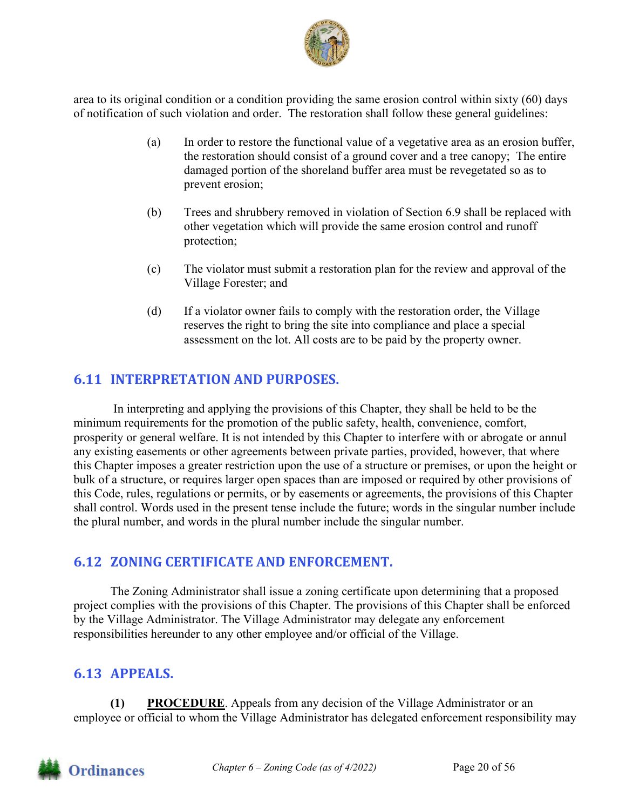

area to its original condition or a condition providing the same erosion control within sixty (60) days of notification of such violation and order. The restoration shall follow these general guidelines:

- (a) In order to restore the functional value of a vegetative area as an erosion buffer, the restoration should consist of a ground cover and a tree canopy; The entire damaged portion of the shoreland buffer area must be revegetated so as to prevent erosion;
- (b) Trees and shrubbery removed in violation of Section 6.9 shall be replaced with other vegetation which will provide the same erosion control and runoff protection;
- (c) The violator must submit a restoration plan for the review and approval of the Village Forester; and
- (d) If a violator owner fails to comply with the restoration order, the Village reserves the right to bring the site into compliance and place a special assessment on the lot. All costs are to be paid by the property owner.

## **6.11 INTERPRETATION AND PURPOSES.**

In interpreting and applying the provisions of this Chapter, they shall be held to be the minimum requirements for the promotion of the public safety, health, convenience, comfort, prosperity or general welfare. It is not intended by this Chapter to interfere with or abrogate or annul any existing easements or other agreements between private parties, provided, however, that where this Chapter imposes a greater restriction upon the use of a structure or premises, or upon the height or bulk of a structure, or requires larger open spaces than are imposed or required by other provisions of this Code, rules, regulations or permits, or by easements or agreements, the provisions of this Chapter shall control. Words used in the present tense include the future; words in the singular number include the plural number, and words in the plural number include the singular number.

## **6.12 ZONING CERTIFICATE AND ENFORCEMENT.**

The Zoning Administrator shall issue a zoning certificate upon determining that a proposed project complies with the provisions of this Chapter. The provisions of this Chapter shall be enforced by the Village Administrator. The Village Administrator may delegate any enforcement responsibilities hereunder to any other employee and/or official of the Village.

## **6.13 APPEALS.**

**(1) PROCEDURE**. Appeals from any decision of the Village Administrator or an employee or official to whom the Village Administrator has delegated enforcement responsibility may

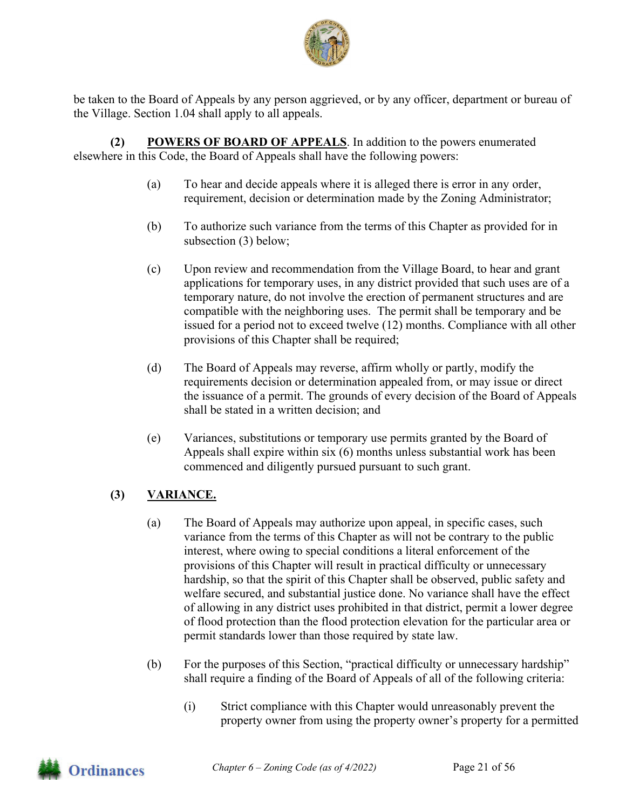

be taken to the Board of Appeals by any person aggrieved, or by any officer, department or bureau of the Village. Section 1.04 shall apply to all appeals.

**(2) POWERS OF BOARD OF APPEALS**. In addition to the powers enumerated elsewhere in this Code, the Board of Appeals shall have the following powers:

- (a) To hear and decide appeals where it is alleged there is error in any order, requirement, decision or determination made by the Zoning Administrator;
- (b) To authorize such variance from the terms of this Chapter as provided for in subsection (3) below;
- (c) Upon review and recommendation from the Village Board, to hear and grant applications for temporary uses, in any district provided that such uses are of a temporary nature, do not involve the erection of permanent structures and are compatible with the neighboring uses. The permit shall be temporary and be issued for a period not to exceed twelve (12) months. Compliance with all other provisions of this Chapter shall be required;
- (d) The Board of Appeals may reverse, affirm wholly or partly, modify the requirements decision or determination appealed from, or may issue or direct the issuance of a permit. The grounds of every decision of the Board of Appeals shall be stated in a written decision; and
- (e) Variances, substitutions or temporary use permits granted by the Board of Appeals shall expire within six (6) months unless substantial work has been commenced and diligently pursued pursuant to such grant.

## **(3) VARIANCE.**

- (a) The Board of Appeals may authorize upon appeal, in specific cases, such variance from the terms of this Chapter as will not be contrary to the public interest, where owing to special conditions a literal enforcement of the provisions of this Chapter will result in practical difficulty or unnecessary hardship, so that the spirit of this Chapter shall be observed, public safety and welfare secured, and substantial justice done. No variance shall have the effect of allowing in any district uses prohibited in that district, permit a lower degree of flood protection than the flood protection elevation for the particular area or permit standards lower than those required by state law.
- (b) For the purposes of this Section, "practical difficulty or unnecessary hardship" shall require a finding of the Board of Appeals of all of the following criteria:
	- (i) Strict compliance with this Chapter would unreasonably prevent the property owner from using the property owner's property for a permitted

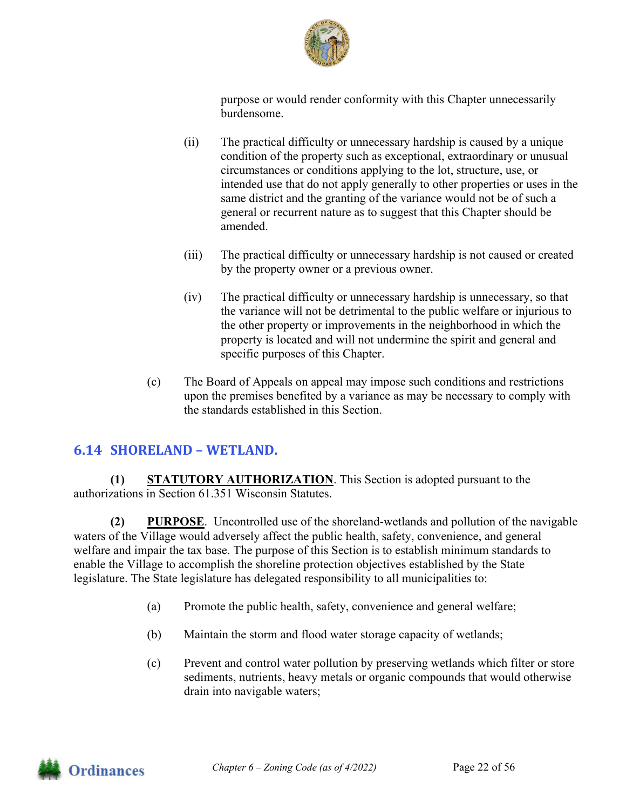

purpose or would render conformity with this Chapter unnecessarily burdensome.

- (ii) The practical difficulty or unnecessary hardship is caused by a unique condition of the property such as exceptional, extraordinary or unusual circumstances or conditions applying to the lot, structure, use, or intended use that do not apply generally to other properties or uses in the same district and the granting of the variance would not be of such a general or recurrent nature as to suggest that this Chapter should be amended.
- (iii) The practical difficulty or unnecessary hardship is not caused or created by the property owner or a previous owner.
- (iv) The practical difficulty or unnecessary hardship is unnecessary, so that the variance will not be detrimental to the public welfare or injurious to the other property or improvements in the neighborhood in which the property is located and will not undermine the spirit and general and specific purposes of this Chapter.
- (c) The Board of Appeals on appeal may impose such conditions and restrictions upon the premises benefited by a variance as may be necessary to comply with the standards established in this Section.

## **6.14 SHORELAND – WETLAND.**

**(1) STATUTORY AUTHORIZATION**. This Section is adopted pursuant to the authorizations in Section 61.351 Wisconsin Statutes.

**(2) PURPOSE**.Uncontrolled use of the shoreland-wetlands and pollution of the navigable waters of the Village would adversely affect the public health, safety, convenience, and general welfare and impair the tax base. The purpose of this Section is to establish minimum standards to enable the Village to accomplish the shoreline protection objectives established by the State legislature. The State legislature has delegated responsibility to all municipalities to:

- (a) Promote the public health, safety, convenience and general welfare;
- (b) Maintain the storm and flood water storage capacity of wetlands;
- (c) Prevent and control water pollution by preserving wetlands which filter or store sediments, nutrients, heavy metals or organic compounds that would otherwise drain into navigable waters;

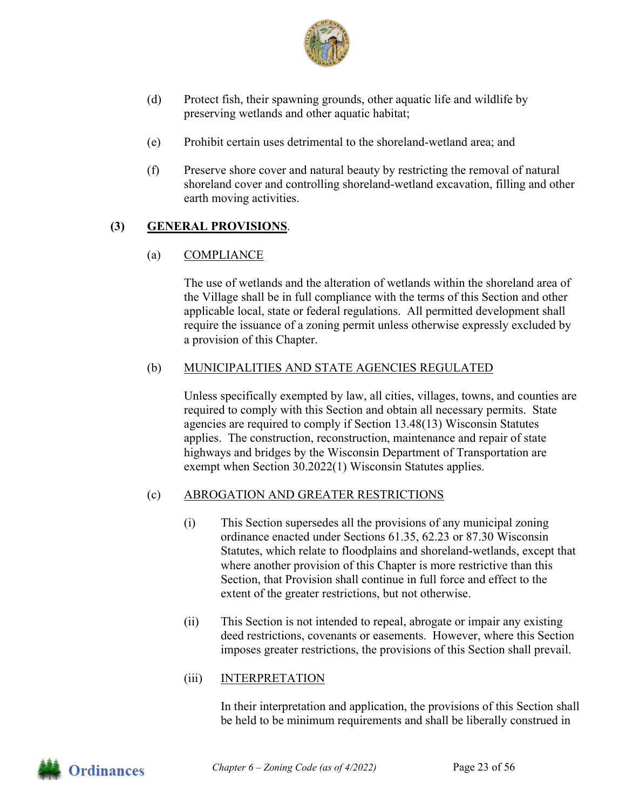

- (d) Protect fish, their spawning grounds, other aquatic life and wildlife by preserving wetlands and other aquatic habitat;
- (e) Prohibit certain uses detrimental to the shoreland-wetland area; and
- (f) Preserve shore cover and natural beauty by restricting the removal of natural shoreland cover and controlling shoreland-wetland excavation, filling and other earth moving activities.

#### **(3) GENERAL PROVISIONS**.

(a) COMPLIANCE

The use of wetlands and the alteration of wetlands within the shoreland area of the Village shall be in full compliance with the terms of this Section and other applicable local, state or federal regulations. All permitted development shall require the issuance of a zoning permit unless otherwise expressly excluded by a provision of this Chapter.

#### (b) MUNICIPALITIES AND STATE AGENCIES REGULATED

Unless specifically exempted by law, all cities, villages, towns, and counties are required to comply with this Section and obtain all necessary permits. State agencies are required to comply if Section 13.48(13) Wisconsin Statutes applies. The construction, reconstruction, maintenance and repair of state highways and bridges by the Wisconsin Department of Transportation are exempt when Section 30.2022(1) Wisconsin Statutes applies.

#### (c) ABROGATION AND GREATER RESTRICTIONS

- (i) This Section supersedes all the provisions of any municipal zoning ordinance enacted under Sections 61.35, 62.23 or 87.30 Wisconsin Statutes, which relate to floodplains and shoreland-wetlands, except that where another provision of this Chapter is more restrictive than this Section, that Provision shall continue in full force and effect to the extent of the greater restrictions, but not otherwise.
- (ii) This Section is not intended to repeal, abrogate or impair any existing deed restrictions, covenants or easements. However, where this Section imposes greater restrictions, the provisions of this Section shall prevail.

#### (iii) INTERPRETATION

In their interpretation and application, the provisions of this Section shall be held to be minimum requirements and shall be liberally construed in

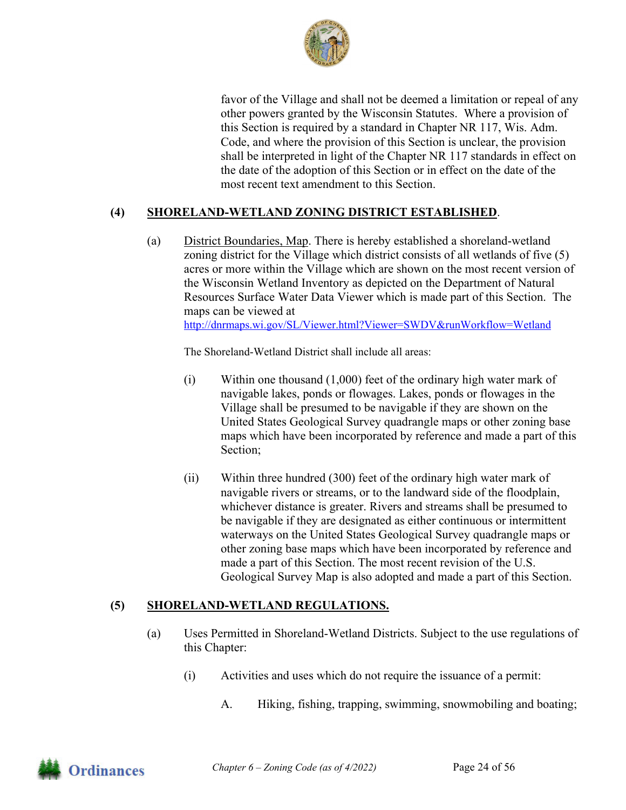

favor of the Village and shall not be deemed a limitation or repeal of any other powers granted by the Wisconsin Statutes. Where a provision of this Section is required by a standard in Chapter NR 117, Wis. Adm. Code, and where the provision of this Section is unclear, the provision shall be interpreted in light of the Chapter NR 117 standards in effect on the date of the adoption of this Section or in effect on the date of the most recent text amendment to this Section.

#### **(4) SHORELAND-WETLAND ZONING DISTRICT ESTABLISHED**.

(a) District Boundaries, Map. There is hereby established a shoreland-wetland zoning district for the Village which district consists of all wetlands of five (5) acres or more within the Village which are shown on the most recent version of the Wisconsin Wetland Inventory as depicted on the Department of Natural Resources Surface Water Data Viewer which is made part of this Section. The maps can be viewed at http://dnrmaps.wi.gov/SL/Viewer.html?Viewer=SWDV&runWorkflow=Wetland

The Shoreland-Wetland District shall include all areas:

- (i) Within one thousand (1,000) feet of the ordinary high water mark of navigable lakes, ponds or flowages. Lakes, ponds or flowages in the Village shall be presumed to be navigable if they are shown on the United States Geological Survey quadrangle maps or other zoning base maps which have been incorporated by reference and made a part of this Section;
- (ii) Within three hundred (300) feet of the ordinary high water mark of navigable rivers or streams, or to the landward side of the floodplain, whichever distance is greater. Rivers and streams shall be presumed to be navigable if they are designated as either continuous or intermittent waterways on the United States Geological Survey quadrangle maps or other zoning base maps which have been incorporated by reference and made a part of this Section. The most recent revision of the U.S. Geological Survey Map is also adopted and made a part of this Section.

#### **(5) SHORELAND-WETLAND REGULATIONS.**

- (a) Uses Permitted in Shoreland-Wetland Districts. Subject to the use regulations of this Chapter:
	- (i) Activities and uses which do not require the issuance of a permit:
		- A. Hiking, fishing, trapping, swimming, snowmobiling and boating;

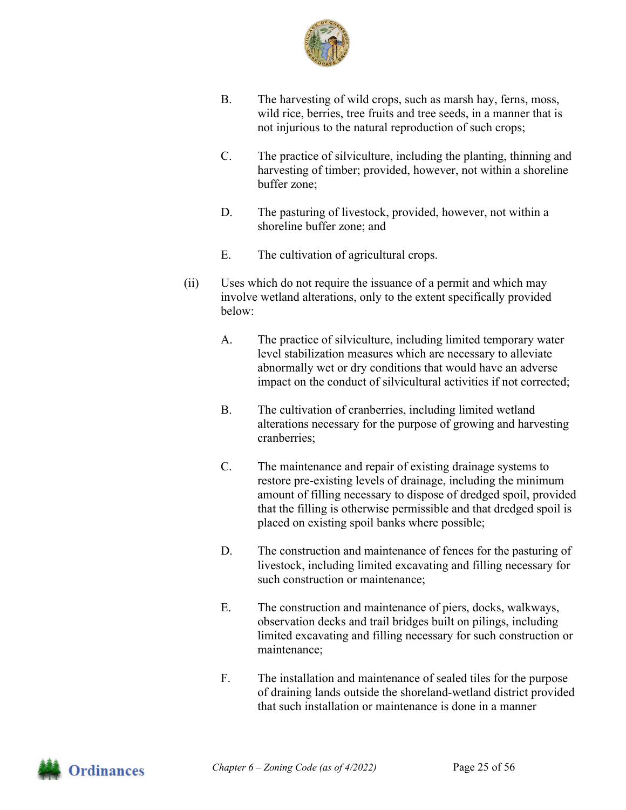

- B. The harvesting of wild crops, such as marsh hay, ferns, moss, wild rice, berries, tree fruits and tree seeds, in a manner that is not injurious to the natural reproduction of such crops;
- C. The practice of silviculture, including the planting, thinning and harvesting of timber; provided, however, not within a shoreline buffer zone;
- D. The pasturing of livestock, provided, however, not within a shoreline buffer zone; and
- E. The cultivation of agricultural crops.
- (ii) Uses which do not require the issuance of a permit and which may involve wetland alterations, only to the extent specifically provided below:
	- A. The practice of silviculture, including limited temporary water level stabilization measures which are necessary to alleviate abnormally wet or dry conditions that would have an adverse impact on the conduct of silvicultural activities if not corrected;
	- B. The cultivation of cranberries, including limited wetland alterations necessary for the purpose of growing and harvesting cranberries;
	- C. The maintenance and repair of existing drainage systems to restore pre-existing levels of drainage, including the minimum amount of filling necessary to dispose of dredged spoil, provided that the filling is otherwise permissible and that dredged spoil is placed on existing spoil banks where possible;
	- D. The construction and maintenance of fences for the pasturing of livestock, including limited excavating and filling necessary for such construction or maintenance;
	- E. The construction and maintenance of piers, docks, walkways, observation decks and trail bridges built on pilings, including limited excavating and filling necessary for such construction or maintenance;
	- F. The installation and maintenance of sealed tiles for the purpose of draining lands outside the shoreland-wetland district provided that such installation or maintenance is done in a manner

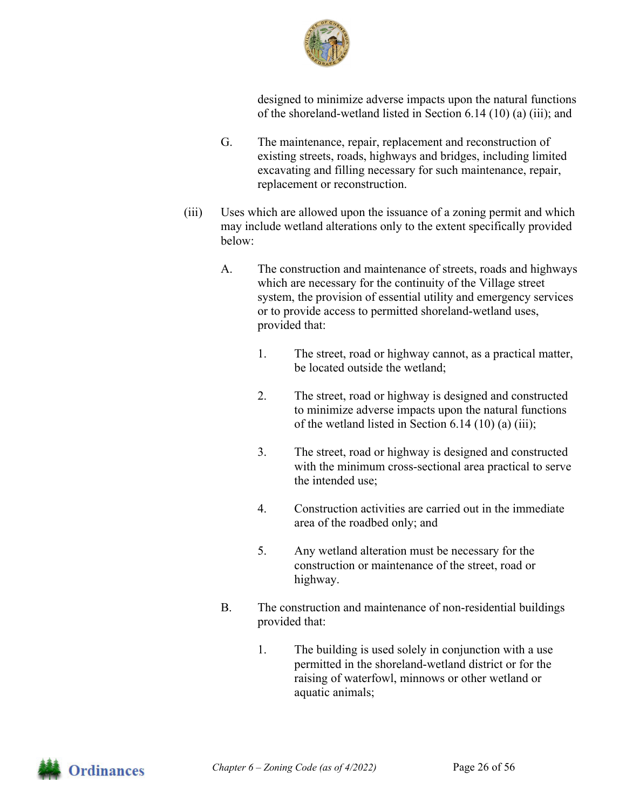

designed to minimize adverse impacts upon the natural functions of the shoreland-wetland listed in Section 6.14 (10) (a) (iii); and

- G. The maintenance, repair, replacement and reconstruction of existing streets, roads, highways and bridges, including limited excavating and filling necessary for such maintenance, repair, replacement or reconstruction.
- (iii) Uses which are allowed upon the issuance of a zoning permit and which may include wetland alterations only to the extent specifically provided below:
	- A. The construction and maintenance of streets, roads and highways which are necessary for the continuity of the Village street system, the provision of essential utility and emergency services or to provide access to permitted shoreland-wetland uses, provided that:
		- 1. The street, road or highway cannot, as a practical matter, be located outside the wetland;
		- 2. The street, road or highway is designed and constructed to minimize adverse impacts upon the natural functions of the wetland listed in Section 6.14 (10) (a) (iii);
		- 3. The street, road or highway is designed and constructed with the minimum cross-sectional area practical to serve the intended use;
		- 4. Construction activities are carried out in the immediate area of the roadbed only; and
		- 5. Any wetland alteration must be necessary for the construction or maintenance of the street, road or highway.
	- B. The construction and maintenance of non-residential buildings provided that:
		- 1. The building is used solely in conjunction with a use permitted in the shoreland-wetland district or for the raising of waterfowl, minnows or other wetland or aquatic animals;

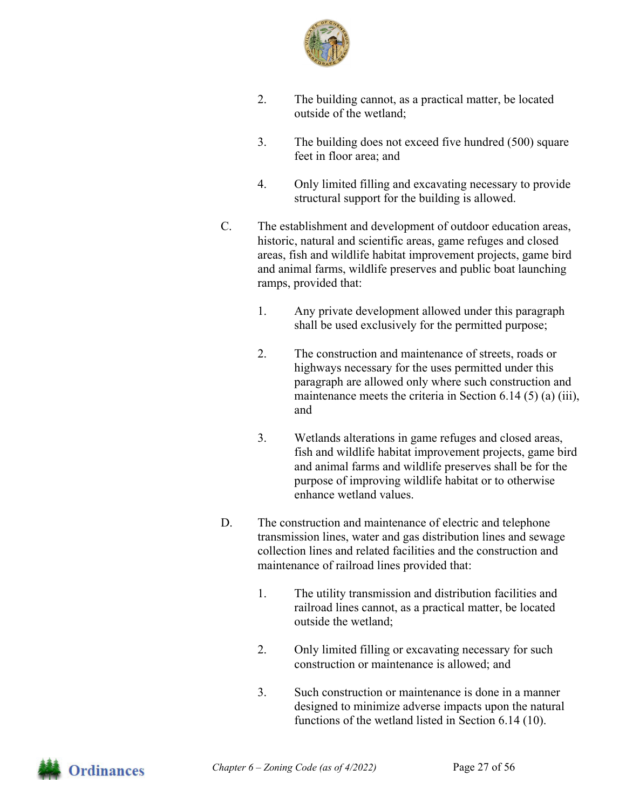

- 2. The building cannot, as a practical matter, be located outside of the wetland;
- 3. The building does not exceed five hundred (500) square feet in floor area; and
- 4. Only limited filling and excavating necessary to provide structural support for the building is allowed.
- C. The establishment and development of outdoor education areas, historic, natural and scientific areas, game refuges and closed areas, fish and wildlife habitat improvement projects, game bird and animal farms, wildlife preserves and public boat launching ramps, provided that:
	- 1. Any private development allowed under this paragraph shall be used exclusively for the permitted purpose;
	- 2. The construction and maintenance of streets, roads or highways necessary for the uses permitted under this paragraph are allowed only where such construction and maintenance meets the criteria in Section 6.14 (5) (a) (iii), and
	- 3. Wetlands alterations in game refuges and closed areas, fish and wildlife habitat improvement projects, game bird and animal farms and wildlife preserves shall be for the purpose of improving wildlife habitat or to otherwise enhance wetland values.
- D. The construction and maintenance of electric and telephone transmission lines, water and gas distribution lines and sewage collection lines and related facilities and the construction and maintenance of railroad lines provided that:
	- 1. The utility transmission and distribution facilities and railroad lines cannot, as a practical matter, be located outside the wetland;
	- 2. Only limited filling or excavating necessary for such construction or maintenance is allowed; and
	- 3. Such construction or maintenance is done in a manner designed to minimize adverse impacts upon the natural functions of the wetland listed in Section 6.14 (10).

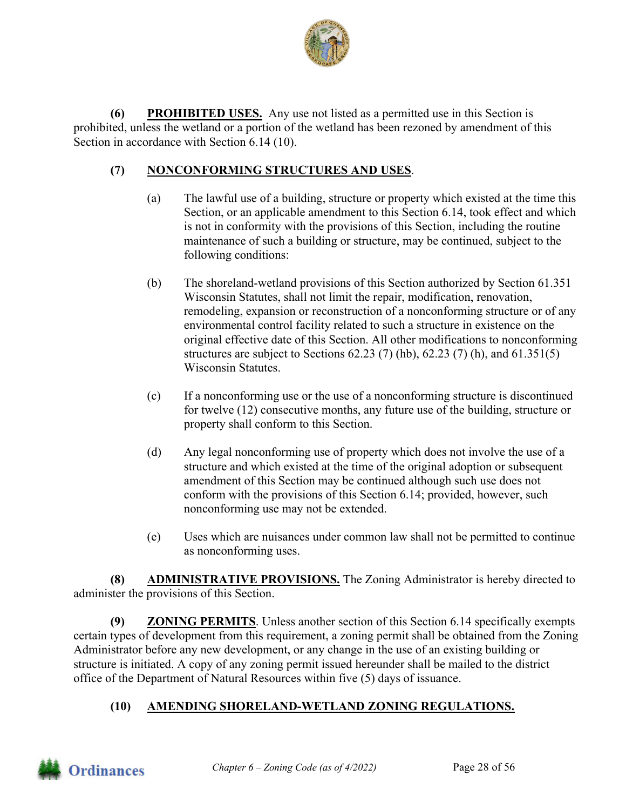

**(6) PROHIBITED USES.** Any use not listed as a permitted use in this Section is prohibited, unless the wetland or a portion of the wetland has been rezoned by amendment of this Section in accordance with Section 6.14 (10).

#### **(7) NONCONFORMING STRUCTURES AND USES**.

- (a) The lawful use of a building, structure or property which existed at the time this Section, or an applicable amendment to this Section 6.14, took effect and which is not in conformity with the provisions of this Section, including the routine maintenance of such a building or structure, may be continued, subject to the following conditions:
- (b) The shoreland-wetland provisions of this Section authorized by Section 61.351 Wisconsin Statutes, shall not limit the repair, modification, renovation, remodeling, expansion or reconstruction of a nonconforming structure or of any environmental control facility related to such a structure in existence on the original effective date of this Section. All other modifications to nonconforming structures are subject to Sections 62.23 (7) (hb), 62.23 (7) (h), and 61.351(5) Wisconsin Statutes.
- (c) If a nonconforming use or the use of a nonconforming structure is discontinued for twelve (12) consecutive months, any future use of the building, structure or property shall conform to this Section.
- (d) Any legal nonconforming use of property which does not involve the use of a structure and which existed at the time of the original adoption or subsequent amendment of this Section may be continued although such use does not conform with the provisions of this Section 6.14; provided, however, such nonconforming use may not be extended.
- (e) Uses which are nuisances under common law shall not be permitted to continue as nonconforming uses.

**(8) ADMINISTRATIVE PROVISIONS.** The Zoning Administrator is hereby directed to administer the provisions of this Section.

**(9) ZONING PERMITS**. Unless another section of this Section 6.14 specifically exempts certain types of development from this requirement, a zoning permit shall be obtained from the Zoning Administrator before any new development, or any change in the use of an existing building or structure is initiated. A copy of any zoning permit issued hereunder shall be mailed to the district office of the Department of Natural Resources within five (5) days of issuance.

## **(10) AMENDING SHORELAND-WETLAND ZONING REGULATIONS.**

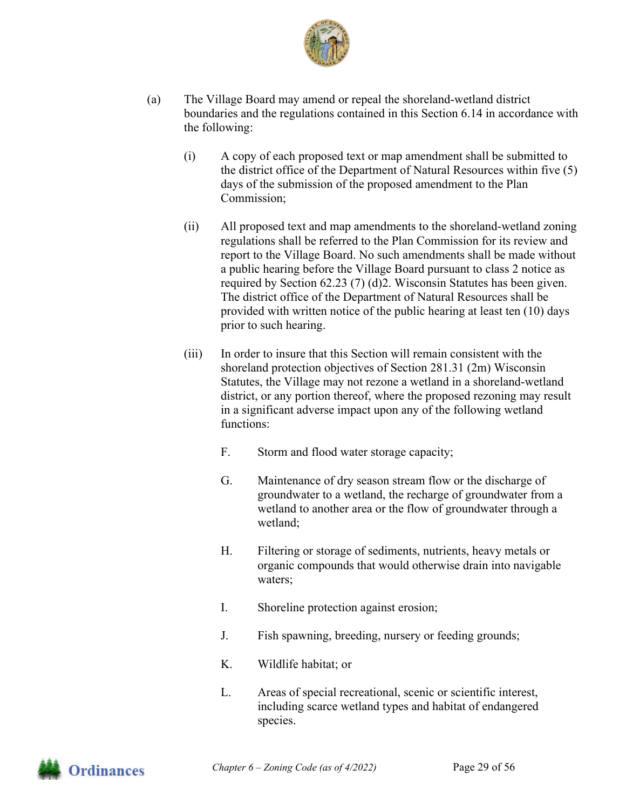

- (a) The Village Board may amend or repeal the shoreland-wetland district boundaries and the regulations contained in this Section 6.14 in accordance with the following:
	- (i) A copy of each proposed text or map amendment shall be submitted to the district office of the Department of Natural Resources within five (5) days of the submission of the proposed amendment to the Plan Commission;
	- (ii) All proposed text and map amendments to the shoreland-wetland zoning regulations shall be referred to the Plan Commission for its review and report to the Village Board. No such amendments shall be made without a public hearing before the Village Board pursuant to class 2 notice as required by Section 62.23 (7) (d)2. Wisconsin Statutes has been given. The district office of the Department of Natural Resources shall be provided with written notice of the public hearing at least ten (10) days prior to such hearing.
	- (iii) In order to insure that this Section will remain consistent with the shoreland protection objectives of Section 281.31 (2m) Wisconsin Statutes, the Village may not rezone a wetland in a shoreland-wetland district, or any portion thereof, where the proposed rezoning may result in a significant adverse impact upon any of the following wetland functions:
		- F. Storm and flood water storage capacity;
		- G. Maintenance of dry season stream flow or the discharge of groundwater to a wetland, the recharge of groundwater from a wetland to another area or the flow of groundwater through a wetland;
		- H. Filtering or storage of sediments, nutrients, heavy metals or organic compounds that would otherwise drain into navigable waters;
		- I. Shoreline protection against erosion;
		- J. Fish spawning, breeding, nursery or feeding grounds;
		- K. Wildlife habitat; or
		- L. Areas of special recreational, scenic or scientific interest, including scarce wetland types and habitat of endangered species.

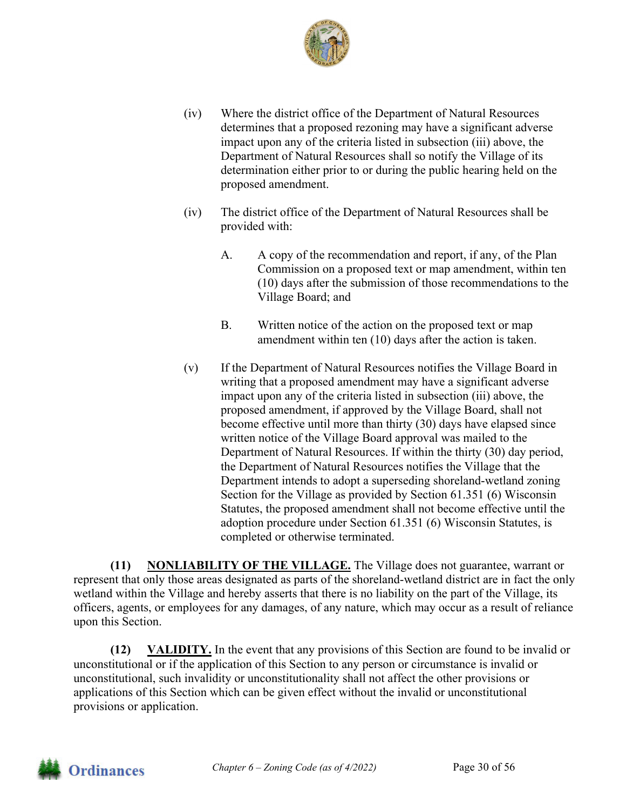

- (iv) Where the district office of the Department of Natural Resources determines that a proposed rezoning may have a significant adverse impact upon any of the criteria listed in subsection (iii) above, the Department of Natural Resources shall so notify the Village of its determination either prior to or during the public hearing held on the proposed amendment.
- (iv) The district office of the Department of Natural Resources shall be provided with:
	- A. A copy of the recommendation and report, if any, of the Plan Commission on a proposed text or map amendment, within ten (10) days after the submission of those recommendations to the Village Board; and
	- B. Written notice of the action on the proposed text or map amendment within ten (10) days after the action is taken.
- (v) If the Department of Natural Resources notifies the Village Board in writing that a proposed amendment may have a significant adverse impact upon any of the criteria listed in subsection (iii) above, the proposed amendment, if approved by the Village Board, shall not become effective until more than thirty (30) days have elapsed since written notice of the Village Board approval was mailed to the Department of Natural Resources. If within the thirty (30) day period, the Department of Natural Resources notifies the Village that the Department intends to adopt a superseding shoreland-wetland zoning Section for the Village as provided by Section 61.351 (6) Wisconsin Statutes, the proposed amendment shall not become effective until the adoption procedure under Section 61.351 (6) Wisconsin Statutes, is completed or otherwise terminated.

**(11) NONLIABILITY OF THE VILLAGE.** The Village does not guarantee, warrant or represent that only those areas designated as parts of the shoreland-wetland district are in fact the only wetland within the Village and hereby asserts that there is no liability on the part of the Village, its officers, agents, or employees for any damages, of any nature, which may occur as a result of reliance upon this Section.

**(12) VALIDITY.** In the event that any provisions of this Section are found to be invalid or unconstitutional or if the application of this Section to any person or circumstance is invalid or unconstitutional, such invalidity or unconstitutionality shall not affect the other provisions or applications of this Section which can be given effect without the invalid or unconstitutional provisions or application.

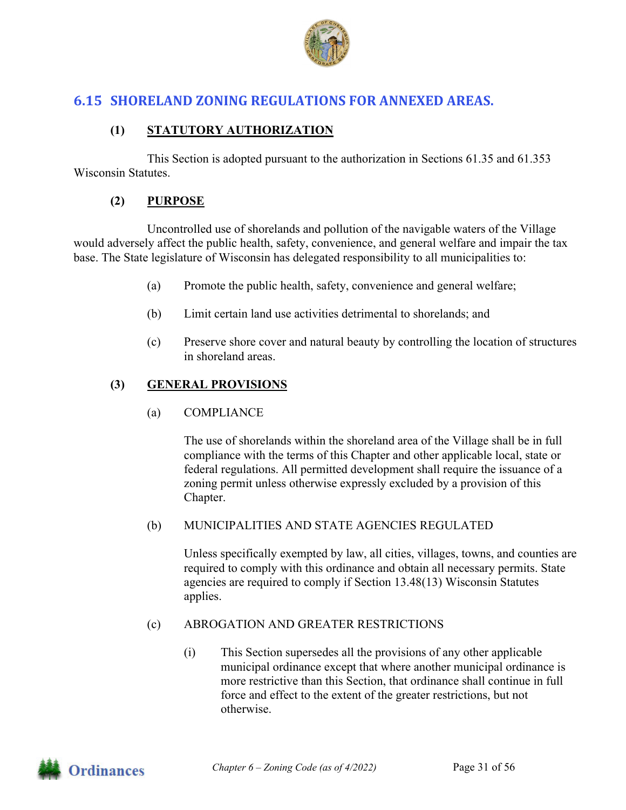

## **6.15 SHORELAND ZONING REGULATIONS FOR ANNEXED AREAS.**

#### **(1) STATUTORY AUTHORIZATION**

This Section is adopted pursuant to the authorization in Sections 61.35 and 61.353 Wisconsin Statutes.

#### **(2) PURPOSE**

Uncontrolled use of shorelands and pollution of the navigable waters of the Village would adversely affect the public health, safety, convenience, and general welfare and impair the tax base. The State legislature of Wisconsin has delegated responsibility to all municipalities to:

- (a) Promote the public health, safety, convenience and general welfare;
- (b) Limit certain land use activities detrimental to shorelands; and
- (c) Preserve shore cover and natural beauty by controlling the location of structures in shoreland areas.

#### **(3) GENERAL PROVISIONS**

(a) COMPLIANCE

The use of shorelands within the shoreland area of the Village shall be in full compliance with the terms of this Chapter and other applicable local, state or federal regulations. All permitted development shall require the issuance of a zoning permit unless otherwise expressly excluded by a provision of this Chapter.

#### (b) MUNICIPALITIES AND STATE AGENCIES REGULATED

Unless specifically exempted by law, all cities, villages, towns, and counties are required to comply with this ordinance and obtain all necessary permits. State agencies are required to comply if Section 13.48(13) Wisconsin Statutes applies.

#### (c) ABROGATION AND GREATER RESTRICTIONS

(i) This Section supersedes all the provisions of any other applicable municipal ordinance except that where another municipal ordinance is more restrictive than this Section, that ordinance shall continue in full force and effect to the extent of the greater restrictions, but not otherwise.

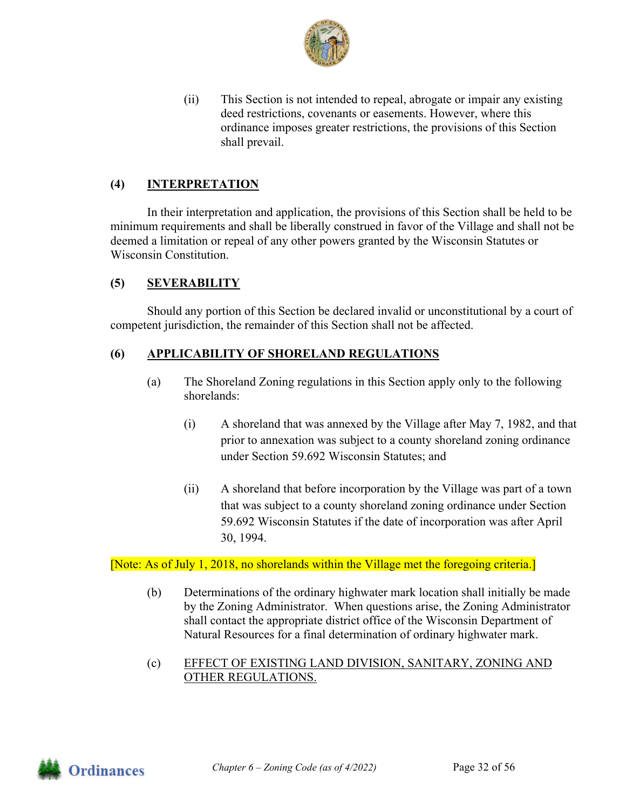

(ii) This Section is not intended to repeal, abrogate or impair any existing deed restrictions, covenants or easements. However, where this ordinance imposes greater restrictions, the provisions of this Section shall prevail.

#### **(4) INTERPRETATION**

In their interpretation and application, the provisions of this Section shall be held to be minimum requirements and shall be liberally construed in favor of the Village and shall not be deemed a limitation or repeal of any other powers granted by the Wisconsin Statutes or Wisconsin Constitution.

#### **(5) SEVERABILITY**

Should any portion of this Section be declared invalid or unconstitutional by a court of competent jurisdiction, the remainder of this Section shall not be affected.

#### **(6) APPLICABILITY OF SHORELAND REGULATIONS**

- (a) The Shoreland Zoning regulations in this Section apply only to the following shorelands:
	- (i) A shoreland that was annexed by the Village after May 7, 1982, and that prior to annexation was subject to a county shoreland zoning ordinance under Section 59.692 Wisconsin Statutes; and
	- (ii) A shoreland that before incorporation by the Village was part of a town that was subject to a county shoreland zoning ordinance under Section 59.692 Wisconsin Statutes if the date of incorporation was after April 30, 1994.

[Note: As of July 1, 2018, no shorelands within the Village met the foregoing criteria.]

- (b) Determinations of the ordinary highwater mark location shall initially be made by the Zoning Administrator. When questions arise, the Zoning Administrator shall contact the appropriate district office of the Wisconsin Department of Natural Resources for a final determination of ordinary highwater mark.
- (c) EFFECT OF EXISTING LAND DIVISION, SANITARY, ZONING AND OTHER REGULATIONS.

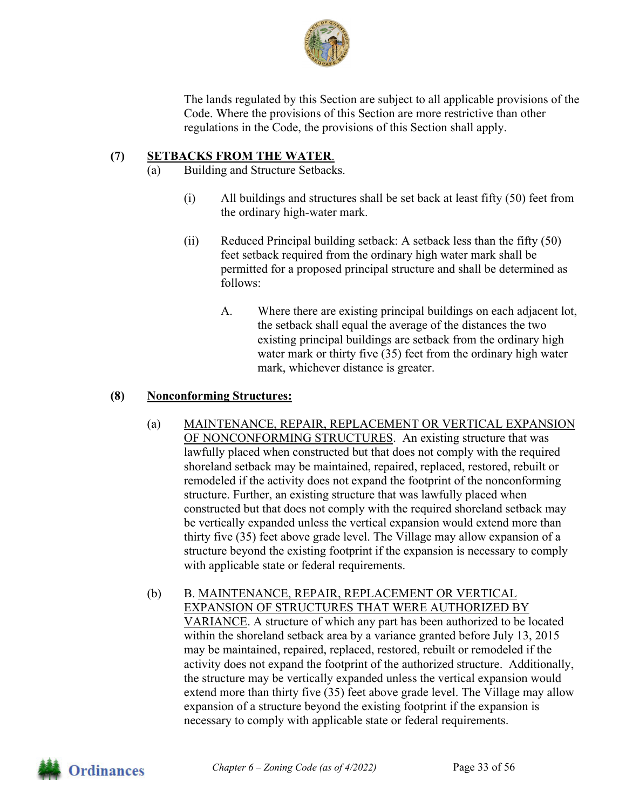

The lands regulated by this Section are subject to all applicable provisions of the Code. Where the provisions of this Section are more restrictive than other regulations in the Code, the provisions of this Section shall apply.

## **(7) SETBACKS FROM THE WATER**.

- (a) Building and Structure Setbacks.
	- (i) All buildings and structures shall be set back at least fifty (50) feet from the ordinary high-water mark.
	- (ii) Reduced Principal building setback: A setback less than the fifty (50) feet setback required from the ordinary high water mark shall be permitted for a proposed principal structure and shall be determined as follows:
		- A. Where there are existing principal buildings on each adjacent lot, the setback shall equal the average of the distances the two existing principal buildings are setback from the ordinary high water mark or thirty five (35) feet from the ordinary high water mark, whichever distance is greater.

#### **(8) Nonconforming Structures:**

- (a) MAINTENANCE, REPAIR, REPLACEMENT OR VERTICAL EXPANSION OF NONCONFORMING STRUCTURES. An existing structure that was lawfully placed when constructed but that does not comply with the required shoreland setback may be maintained, repaired, replaced, restored, rebuilt or remodeled if the activity does not expand the footprint of the nonconforming structure. Further, an existing structure that was lawfully placed when constructed but that does not comply with the required shoreland setback may be vertically expanded unless the vertical expansion would extend more than thirty five (35) feet above grade level. The Village may allow expansion of a structure beyond the existing footprint if the expansion is necessary to comply with applicable state or federal requirements.
- (b) B. MAINTENANCE, REPAIR, REPLACEMENT OR VERTICAL EXPANSION OF STRUCTURES THAT WERE AUTHORIZED BY VARIANCE. A structure of which any part has been authorized to be located within the shoreland setback area by a variance granted before July 13, 2015 may be maintained, repaired, replaced, restored, rebuilt or remodeled if the activity does not expand the footprint of the authorized structure. Additionally, the structure may be vertically expanded unless the vertical expansion would extend more than thirty five (35) feet above grade level. The Village may allow expansion of a structure beyond the existing footprint if the expansion is necessary to comply with applicable state or federal requirements.

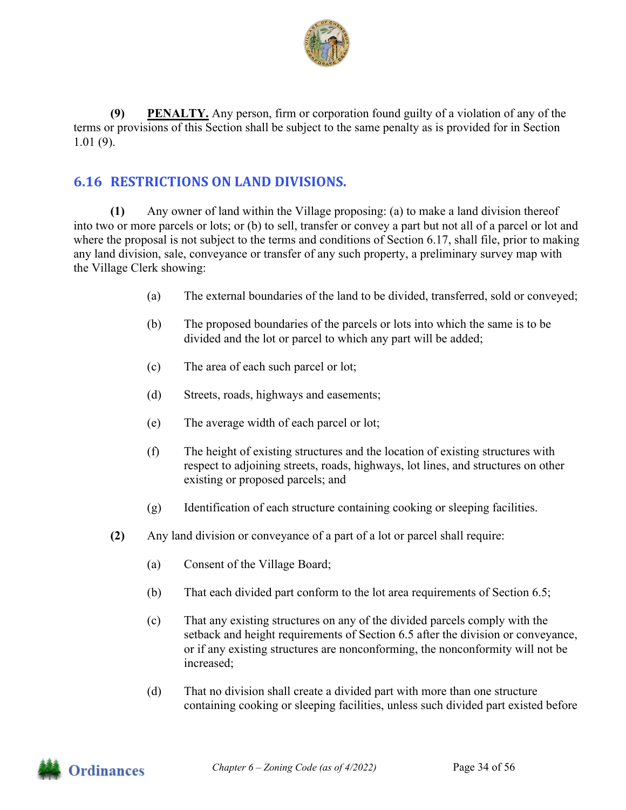

**(9) PENALTY.** Any person, firm or corporation found guilty of a violation of any of the terms or provisions of this Section shall be subject to the same penalty as is provided for in Section 1.01 (9).

## **6.16 RESTRICTIONS ON LAND DIVISIONS.**

**(1)** Any owner of land within the Village proposing: (a) to make a land division thereof into two or more parcels or lots; or (b) to sell, transfer or convey a part but not all of a parcel or lot and where the proposal is not subject to the terms and conditions of Section 6.17, shall file, prior to making any land division, sale, conveyance or transfer of any such property, a preliminary survey map with the Village Clerk showing:

- (a) The external boundaries of the land to be divided, transferred, sold or conveyed;
- (b) The proposed boundaries of the parcels or lots into which the same is to be divided and the lot or parcel to which any part will be added;
- (c) The area of each such parcel or lot;
- (d) Streets, roads, highways and easements;
- (e) The average width of each parcel or lot;
- (f) The height of existing structures and the location of existing structures with respect to adjoining streets, roads, highways, lot lines, and structures on other existing or proposed parcels; and
- (g) Identification of each structure containing cooking or sleeping facilities.
- **(2)** Any land division or conveyance of a part of a lot or parcel shall require:
	- (a) Consent of the Village Board;
	- (b) That each divided part conform to the lot area requirements of Section 6.5;
	- (c) That any existing structures on any of the divided parcels comply with the setback and height requirements of Section 6.5 after the division or conveyance, or if any existing structures are nonconforming, the nonconformity will not be increased;
	- (d) That no division shall create a divided part with more than one structure containing cooking or sleeping facilities, unless such divided part existed before

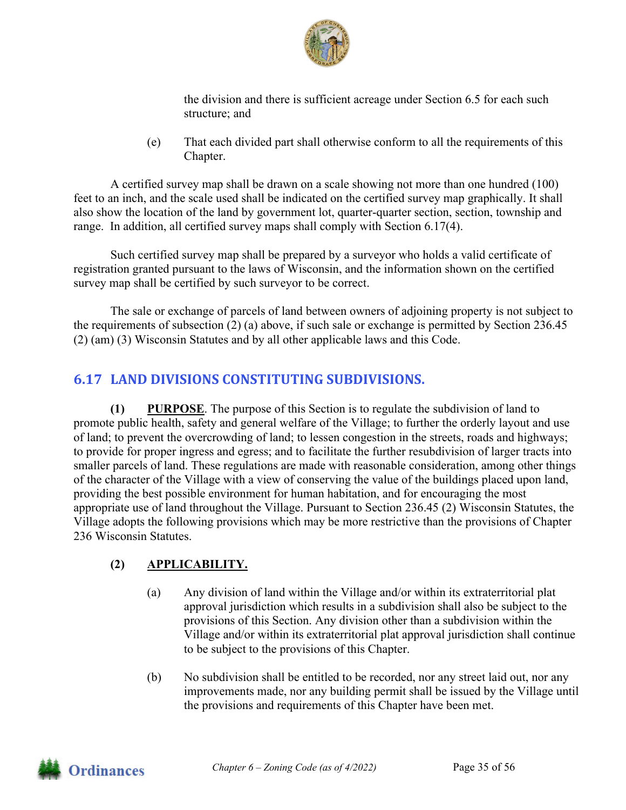

the division and there is sufficient acreage under Section 6.5 for each such structure; and

(e) That each divided part shall otherwise conform to all the requirements of this Chapter.

 A certified survey map shall be drawn on a scale showing not more than one hundred (100) feet to an inch, and the scale used shall be indicated on the certified survey map graphically. It shall also show the location of the land by government lot, quarter-quarter section, section, township and range. In addition, all certified survey maps shall comply with Section 6.17(4).

 Such certified survey map shall be prepared by a surveyor who holds a valid certificate of registration granted pursuant to the laws of Wisconsin, and the information shown on the certified survey map shall be certified by such surveyor to be correct.

 The sale or exchange of parcels of land between owners of adjoining property is not subject to the requirements of subsection (2) (a) above, if such sale or exchange is permitted by Section 236.45 (2) (am) (3) Wisconsin Statutes and by all other applicable laws and this Code.

## **6.17 LAND DIVISIONS CONSTITUTING SUBDIVISIONS.**

**(1) PURPOSE**. The purpose of this Section is to regulate the subdivision of land to promote public health, safety and general welfare of the Village; to further the orderly layout and use of land; to prevent the overcrowding of land; to lessen congestion in the streets, roads and highways; to provide for proper ingress and egress; and to facilitate the further resubdivision of larger tracts into smaller parcels of land. These regulations are made with reasonable consideration, among other things of the character of the Village with a view of conserving the value of the buildings placed upon land, providing the best possible environment for human habitation, and for encouraging the most appropriate use of land throughout the Village. Pursuant to Section 236.45 (2) Wisconsin Statutes, the Village adopts the following provisions which may be more restrictive than the provisions of Chapter 236 Wisconsin Statutes.

## **(2) APPLICABILITY.**

- (a) Any division of land within the Village and/or within its extraterritorial plat approval jurisdiction which results in a subdivision shall also be subject to the provisions of this Section. Any division other than a subdivision within the Village and/or within its extraterritorial plat approval jurisdiction shall continue to be subject to the provisions of this Chapter.
- (b) No subdivision shall be entitled to be recorded, nor any street laid out, nor any improvements made, nor any building permit shall be issued by the Village until the provisions and requirements of this Chapter have been met.

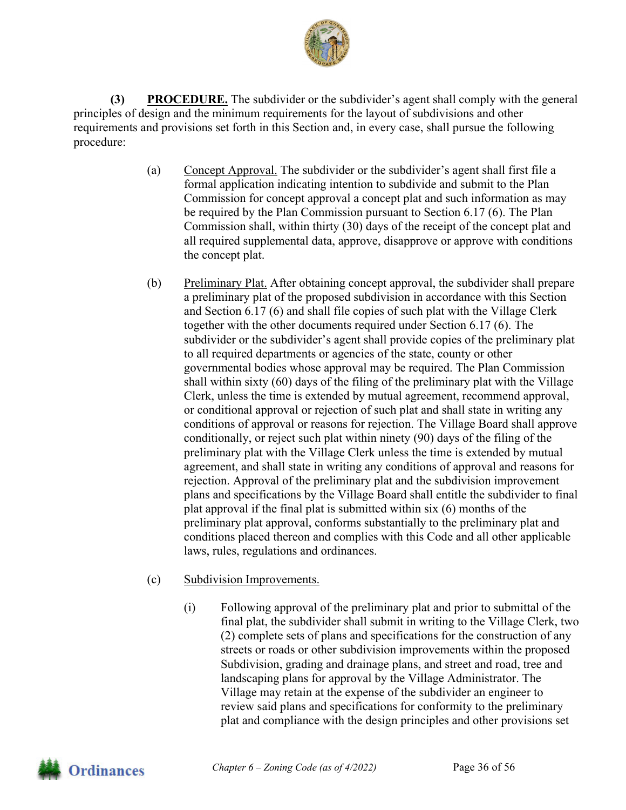

**(3) PROCEDURE.** The subdivider or the subdivider's agent shall comply with the general principles of design and the minimum requirements for the layout of subdivisions and other requirements and provisions set forth in this Section and, in every case, shall pursue the following procedure:

- (a) Concept Approval. The subdivider or the subdivider's agent shall first file a formal application indicating intention to subdivide and submit to the Plan Commission for concept approval a concept plat and such information as may be required by the Plan Commission pursuant to Section 6.17 (6). The Plan Commission shall, within thirty (30) days of the receipt of the concept plat and all required supplemental data, approve, disapprove or approve with conditions the concept plat.
- (b) Preliminary Plat. After obtaining concept approval, the subdivider shall prepare a preliminary plat of the proposed subdivision in accordance with this Section and Section 6.17 (6) and shall file copies of such plat with the Village Clerk together with the other documents required under Section 6.17 (6). The subdivider or the subdivider's agent shall provide copies of the preliminary plat to all required departments or agencies of the state, county or other governmental bodies whose approval may be required. The Plan Commission shall within sixty (60) days of the filing of the preliminary plat with the Village Clerk, unless the time is extended by mutual agreement, recommend approval, or conditional approval or rejection of such plat and shall state in writing any conditions of approval or reasons for rejection. The Village Board shall approve conditionally, or reject such plat within ninety (90) days of the filing of the preliminary plat with the Village Clerk unless the time is extended by mutual agreement, and shall state in writing any conditions of approval and reasons for rejection. Approval of the preliminary plat and the subdivision improvement plans and specifications by the Village Board shall entitle the subdivider to final plat approval if the final plat is submitted within six (6) months of the preliminary plat approval, conforms substantially to the preliminary plat and conditions placed thereon and complies with this Code and all other applicable laws, rules, regulations and ordinances.
- (c) Subdivision Improvements.
	- (i) Following approval of the preliminary plat and prior to submittal of the final plat, the subdivider shall submit in writing to the Village Clerk, two (2) complete sets of plans and specifications for the construction of any streets or roads or other subdivision improvements within the proposed Subdivision, grading and drainage plans, and street and road, tree and landscaping plans for approval by the Village Administrator. The Village may retain at the expense of the subdivider an engineer to review said plans and specifications for conformity to the preliminary plat and compliance with the design principles and other provisions set

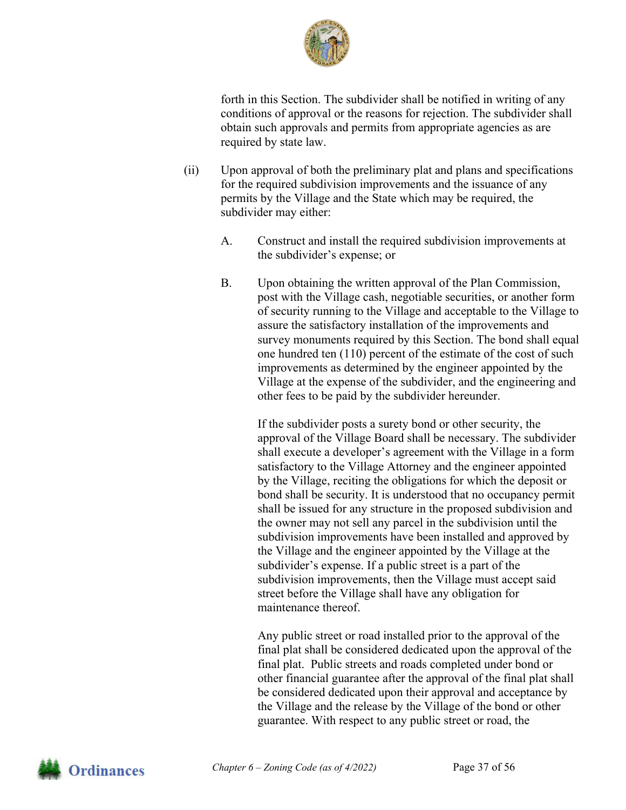

forth in this Section. The subdivider shall be notified in writing of any conditions of approval or the reasons for rejection. The subdivider shall obtain such approvals and permits from appropriate agencies as are required by state law.

- (ii) Upon approval of both the preliminary plat and plans and specifications for the required subdivision improvements and the issuance of any permits by the Village and the State which may be required, the subdivider may either:
	- A. Construct and install the required subdivision improvements at the subdivider's expense; or
	- B. Upon obtaining the written approval of the Plan Commission, post with the Village cash, negotiable securities, or another form of security running to the Village and acceptable to the Village to assure the satisfactory installation of the improvements and survey monuments required by this Section. The bond shall equal one hundred ten (110) percent of the estimate of the cost of such improvements as determined by the engineer appointed by the Village at the expense of the subdivider, and the engineering and other fees to be paid by the subdivider hereunder.

 If the subdivider posts a surety bond or other security, the approval of the Village Board shall be necessary. The subdivider shall execute a developer's agreement with the Village in a form satisfactory to the Village Attorney and the engineer appointed by the Village, reciting the obligations for which the deposit or bond shall be security. It is understood that no occupancy permit shall be issued for any structure in the proposed subdivision and the owner may not sell any parcel in the subdivision until the subdivision improvements have been installed and approved by the Village and the engineer appointed by the Village at the subdivider's expense. If a public street is a part of the subdivision improvements, then the Village must accept said street before the Village shall have any obligation for maintenance thereof.

 Any public street or road installed prior to the approval of the final plat shall be considered dedicated upon the approval of the final plat. Public streets and roads completed under bond or other financial guarantee after the approval of the final plat shall be considered dedicated upon their approval and acceptance by the Village and the release by the Village of the bond or other guarantee. With respect to any public street or road, the

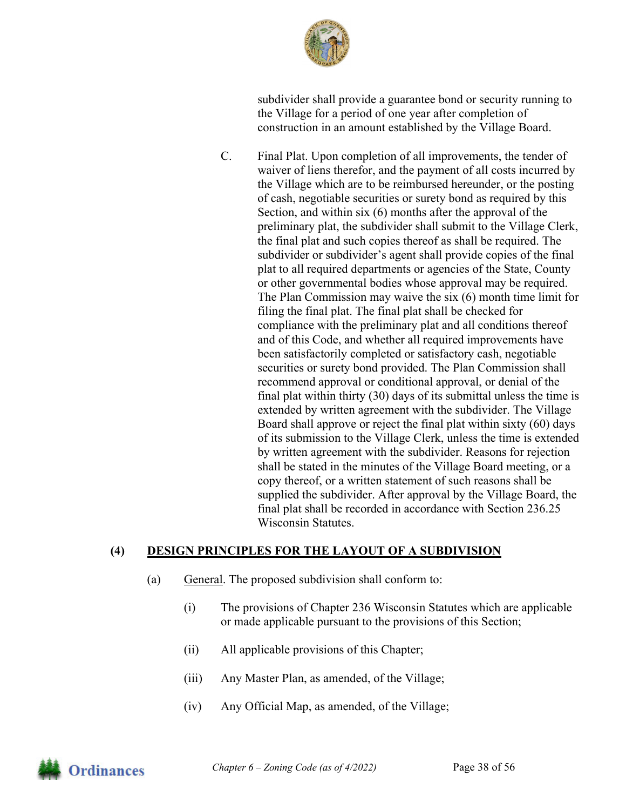

subdivider shall provide a guarantee bond or security running to the Village for a period of one year after completion of construction in an amount established by the Village Board.

C. Final Plat. Upon completion of all improvements, the tender of waiver of liens therefor, and the payment of all costs incurred by the Village which are to be reimbursed hereunder, or the posting of cash, negotiable securities or surety bond as required by this Section, and within six (6) months after the approval of the preliminary plat, the subdivider shall submit to the Village Clerk, the final plat and such copies thereof as shall be required. The subdivider or subdivider's agent shall provide copies of the final plat to all required departments or agencies of the State, County or other governmental bodies whose approval may be required. The Plan Commission may waive the six (6) month time limit for filing the final plat. The final plat shall be checked for compliance with the preliminary plat and all conditions thereof and of this Code, and whether all required improvements have been satisfactorily completed or satisfactory cash, negotiable securities or surety bond provided. The Plan Commission shall recommend approval or conditional approval, or denial of the final plat within thirty (30) days of its submittal unless the time is extended by written agreement with the subdivider. The Village Board shall approve or reject the final plat within sixty (60) days of its submission to the Village Clerk, unless the time is extended by written agreement with the subdivider. Reasons for rejection shall be stated in the minutes of the Village Board meeting, or a copy thereof, or a written statement of such reasons shall be supplied the subdivider. After approval by the Village Board, the final plat shall be recorded in accordance with Section 236.25 Wisconsin Statutes.

## **(4) DESIGN PRINCIPLES FOR THE LAYOUT OF A SUBDIVISION**

- (a) General. The proposed subdivision shall conform to:
	- (i) The provisions of Chapter 236 Wisconsin Statutes which are applicable or made applicable pursuant to the provisions of this Section;
	- (ii) All applicable provisions of this Chapter;
	- (iii) Any Master Plan, as amended, of the Village;
	- (iv) Any Official Map, as amended, of the Village;

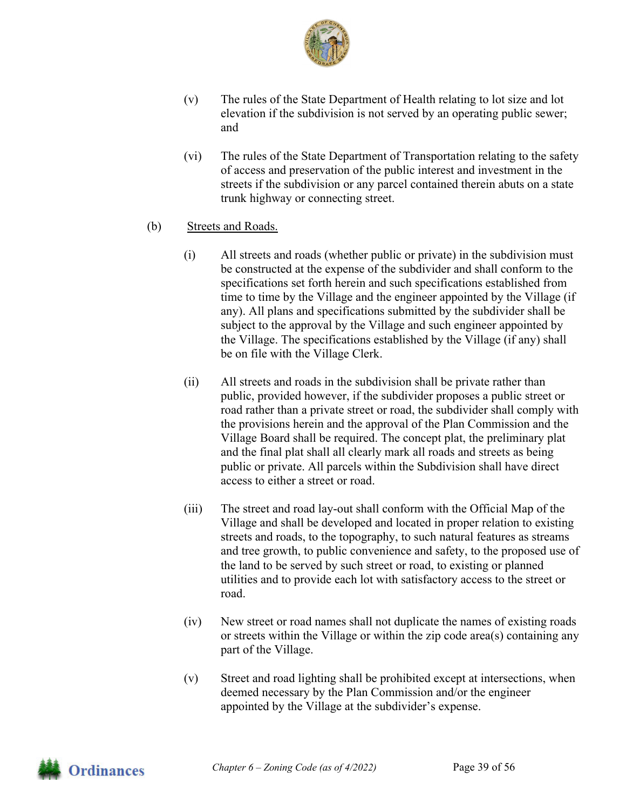

- (v) The rules of the State Department of Health relating to lot size and lot elevation if the subdivision is not served by an operating public sewer; and
- (vi) The rules of the State Department of Transportation relating to the safety of access and preservation of the public interest and investment in the streets if the subdivision or any parcel contained therein abuts on a state trunk highway or connecting street.
- (b) Streets and Roads.
	- (i) All streets and roads (whether public or private) in the subdivision must be constructed at the expense of the subdivider and shall conform to the specifications set forth herein and such specifications established from time to time by the Village and the engineer appointed by the Village (if any). All plans and specifications submitted by the subdivider shall be subject to the approval by the Village and such engineer appointed by the Village. The specifications established by the Village (if any) shall be on file with the Village Clerk.
	- (ii) All streets and roads in the subdivision shall be private rather than public, provided however, if the subdivider proposes a public street or road rather than a private street or road, the subdivider shall comply with the provisions herein and the approval of the Plan Commission and the Village Board shall be required. The concept plat, the preliminary plat and the final plat shall all clearly mark all roads and streets as being public or private. All parcels within the Subdivision shall have direct access to either a street or road.
	- (iii) The street and road lay-out shall conform with the Official Map of the Village and shall be developed and located in proper relation to existing streets and roads, to the topography, to such natural features as streams and tree growth, to public convenience and safety, to the proposed use of the land to be served by such street or road, to existing or planned utilities and to provide each lot with satisfactory access to the street or road.
	- (iv) New street or road names shall not duplicate the names of existing roads or streets within the Village or within the zip code area(s) containing any part of the Village.
	- (v) Street and road lighting shall be prohibited except at intersections, when deemed necessary by the Plan Commission and/or the engineer appointed by the Village at the subdivider's expense.

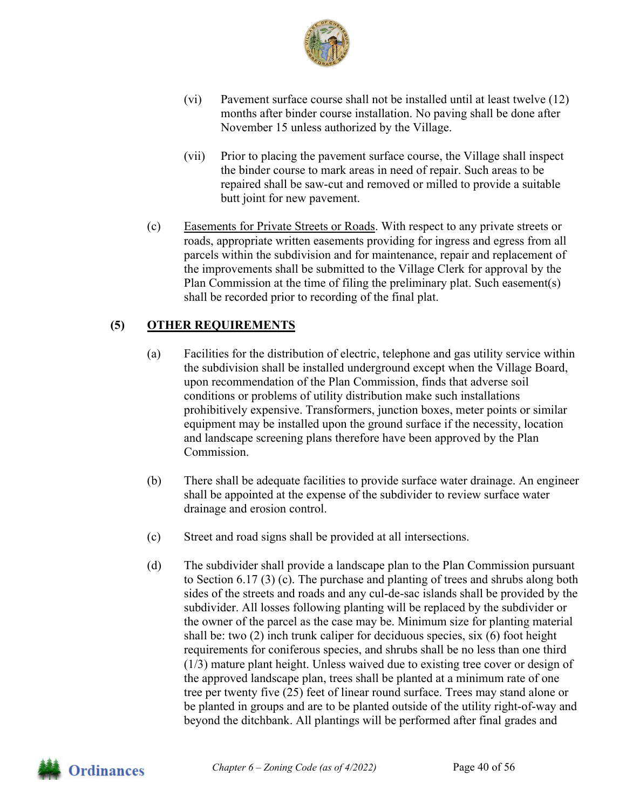

- (vi) Pavement surface course shall not be installed until at least twelve (12) months after binder course installation. No paving shall be done after November 15 unless authorized by the Village.
- (vii) Prior to placing the pavement surface course, the Village shall inspect the binder course to mark areas in need of repair. Such areas to be repaired shall be saw-cut and removed or milled to provide a suitable butt joint for new pavement.
- (c) Easements for Private Streets or Roads. With respect to any private streets or roads, appropriate written easements providing for ingress and egress from all parcels within the subdivision and for maintenance, repair and replacement of the improvements shall be submitted to the Village Clerk for approval by the Plan Commission at the time of filing the preliminary plat. Such easement(s) shall be recorded prior to recording of the final plat.

## **(5) OTHER REQUIREMENTS**

- (a) Facilities for the distribution of electric, telephone and gas utility service within the subdivision shall be installed underground except when the Village Board, upon recommendation of the Plan Commission, finds that adverse soil conditions or problems of utility distribution make such installations prohibitively expensive. Transformers, junction boxes, meter points or similar equipment may be installed upon the ground surface if the necessity, location and landscape screening plans therefore have been approved by the Plan Commission.
- (b) There shall be adequate facilities to provide surface water drainage. An engineer shall be appointed at the expense of the subdivider to review surface water drainage and erosion control.
- (c) Street and road signs shall be provided at all intersections.
- (d) The subdivider shall provide a landscape plan to the Plan Commission pursuant to Section 6.17 (3) (c). The purchase and planting of trees and shrubs along both sides of the streets and roads and any cul-de-sac islands shall be provided by the subdivider. All losses following planting will be replaced by the subdivider or the owner of the parcel as the case may be. Minimum size for planting material shall be: two (2) inch trunk caliper for deciduous species, six (6) foot height requirements for coniferous species, and shrubs shall be no less than one third (1/3) mature plant height. Unless waived due to existing tree cover or design of the approved landscape plan, trees shall be planted at a minimum rate of one tree per twenty five (25) feet of linear round surface. Trees may stand alone or be planted in groups and are to be planted outside of the utility right-of-way and beyond the ditchbank. All plantings will be performed after final grades and

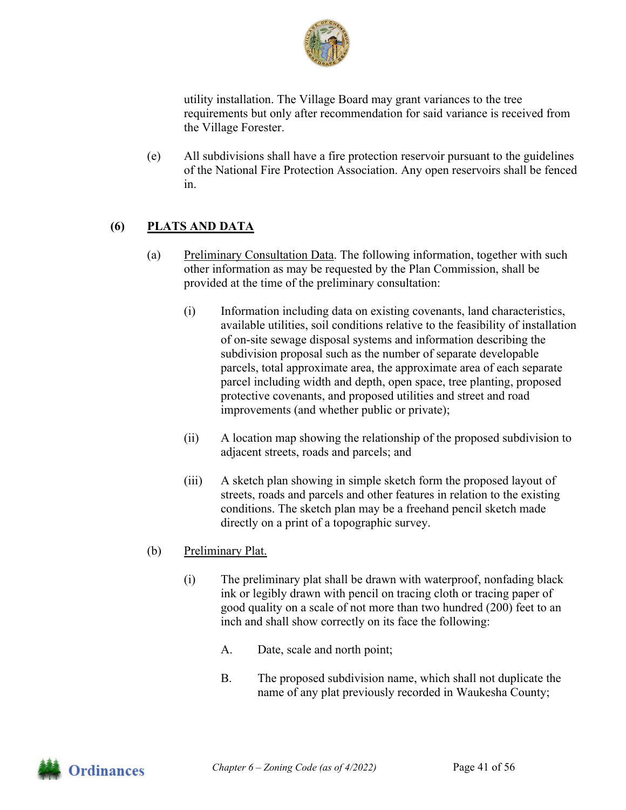

utility installation. The Village Board may grant variances to the tree requirements but only after recommendation for said variance is received from the Village Forester.

(e) All subdivisions shall have a fire protection reservoir pursuant to the guidelines of the National Fire Protection Association. Any open reservoirs shall be fenced in.

## **(6) PLATS AND DATA**

- (a) Preliminary Consultation Data. The following information, together with such other information as may be requested by the Plan Commission, shall be provided at the time of the preliminary consultation:
	- (i) Information including data on existing covenants, land characteristics, available utilities, soil conditions relative to the feasibility of installation of on-site sewage disposal systems and information describing the subdivision proposal such as the number of separate developable parcels, total approximate area, the approximate area of each separate parcel including width and depth, open space, tree planting, proposed protective covenants, and proposed utilities and street and road improvements (and whether public or private);
	- (ii) A location map showing the relationship of the proposed subdivision to adjacent streets, roads and parcels; and
	- (iii) A sketch plan showing in simple sketch form the proposed layout of streets, roads and parcels and other features in relation to the existing conditions. The sketch plan may be a freehand pencil sketch made directly on a print of a topographic survey.
- (b) Preliminary Plat.
	- (i) The preliminary plat shall be drawn with waterproof, nonfading black ink or legibly drawn with pencil on tracing cloth or tracing paper of good quality on a scale of not more than two hundred (200) feet to an inch and shall show correctly on its face the following:
		- A. Date, scale and north point;
		- B. The proposed subdivision name, which shall not duplicate the name of any plat previously recorded in Waukesha County;

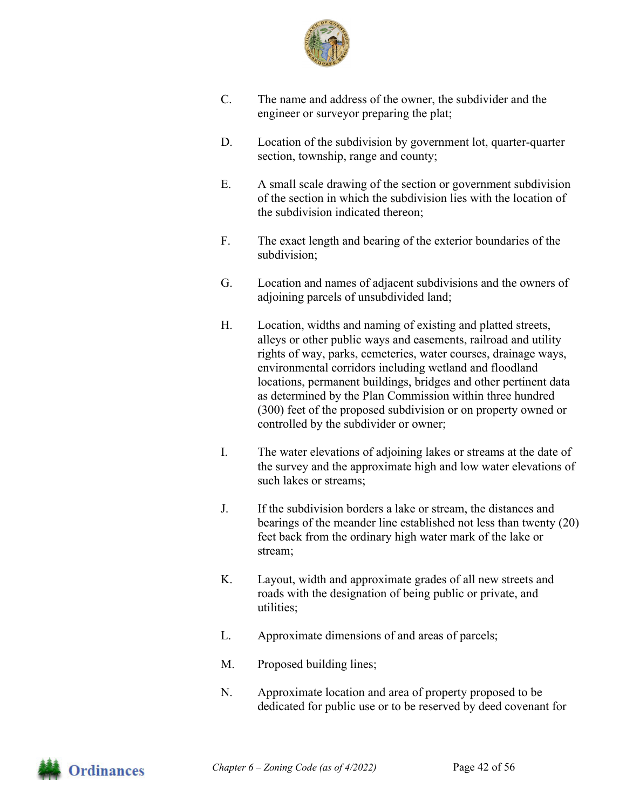

- C. The name and address of the owner, the subdivider and the engineer or surveyor preparing the plat;
- D. Location of the subdivision by government lot, quarter-quarter section, township, range and county;
- E. A small scale drawing of the section or government subdivision of the section in which the subdivision lies with the location of the subdivision indicated thereon;
- F. The exact length and bearing of the exterior boundaries of the subdivision;
- G. Location and names of adjacent subdivisions and the owners of adjoining parcels of unsubdivided land;
- H. Location, widths and naming of existing and platted streets, alleys or other public ways and easements, railroad and utility rights of way, parks, cemeteries, water courses, drainage ways, environmental corridors including wetland and floodland locations, permanent buildings, bridges and other pertinent data as determined by the Plan Commission within three hundred (300) feet of the proposed subdivision or on property owned or controlled by the subdivider or owner;
- I. The water elevations of adjoining lakes or streams at the date of the survey and the approximate high and low water elevations of such lakes or streams;
- J. If the subdivision borders a lake or stream, the distances and bearings of the meander line established not less than twenty (20) feet back from the ordinary high water mark of the lake or stream;
- K. Layout, width and approximate grades of all new streets and roads with the designation of being public or private, and utilities;
- L. Approximate dimensions of and areas of parcels;
- M. Proposed building lines;
- N. Approximate location and area of property proposed to be dedicated for public use or to be reserved by deed covenant for

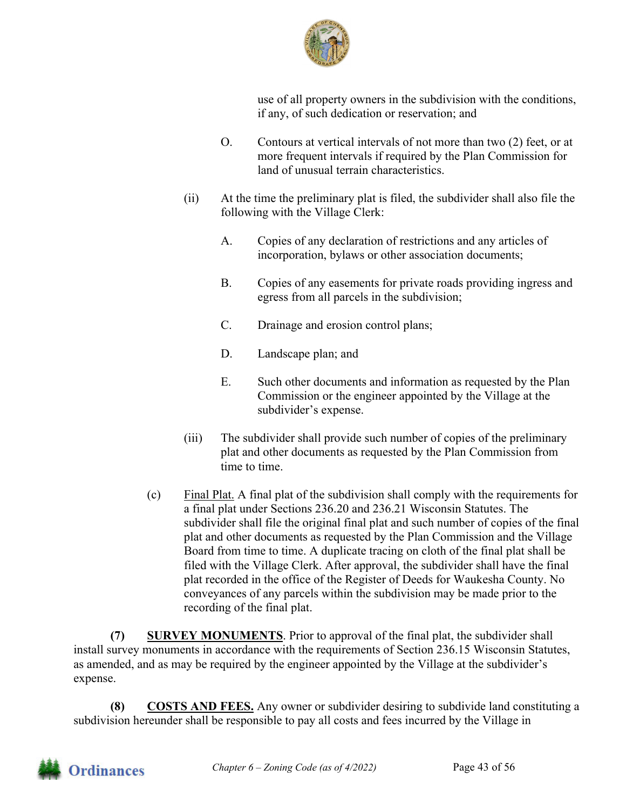

use of all property owners in the subdivision with the conditions, if any, of such dedication or reservation; and

- O. Contours at vertical intervals of not more than two (2) feet, or at more frequent intervals if required by the Plan Commission for land of unusual terrain characteristics.
- (ii) At the time the preliminary plat is filed, the subdivider shall also file the following with the Village Clerk:
	- A. Copies of any declaration of restrictions and any articles of incorporation, bylaws or other association documents;
	- B. Copies of any easements for private roads providing ingress and egress from all parcels in the subdivision;
	- C. Drainage and erosion control plans;
	- D. Landscape plan; and
	- E. Such other documents and information as requested by the Plan Commission or the engineer appointed by the Village at the subdivider's expense.
- (iii) The subdivider shall provide such number of copies of the preliminary plat and other documents as requested by the Plan Commission from time to time.
- (c) Final Plat. A final plat of the subdivision shall comply with the requirements for a final plat under Sections 236.20 and 236.21 Wisconsin Statutes. The subdivider shall file the original final plat and such number of copies of the final plat and other documents as requested by the Plan Commission and the Village Board from time to time. A duplicate tracing on cloth of the final plat shall be filed with the Village Clerk. After approval, the subdivider shall have the final plat recorded in the office of the Register of Deeds for Waukesha County. No conveyances of any parcels within the subdivision may be made prior to the recording of the final plat.

**(7) SURVEY MONUMENTS**. Prior to approval of the final plat, the subdivider shall install survey monuments in accordance with the requirements of Section 236.15 Wisconsin Statutes, as amended, and as may be required by the engineer appointed by the Village at the subdivider's expense.

**(8) COSTS AND FEES.** Any owner or subdivider desiring to subdivide land constituting a subdivision hereunder shall be responsible to pay all costs and fees incurred by the Village in

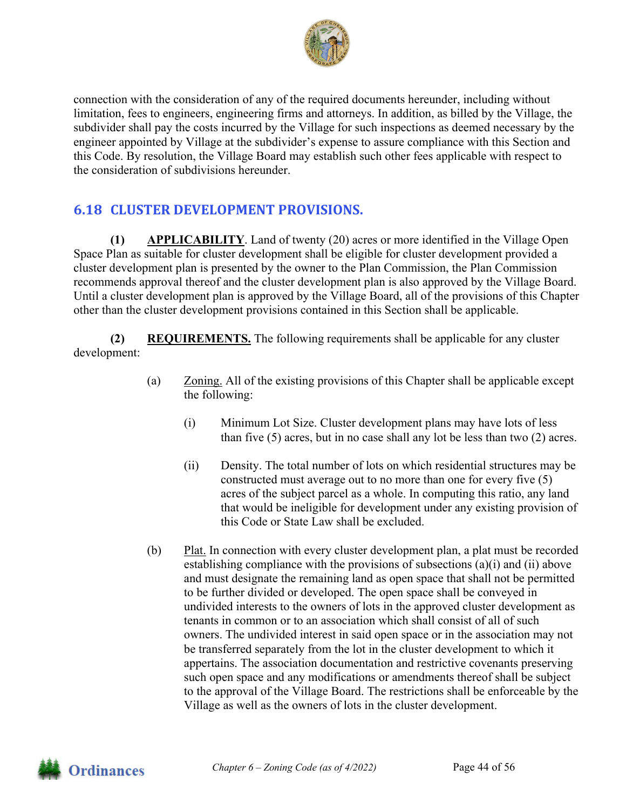

connection with the consideration of any of the required documents hereunder, including without limitation, fees to engineers, engineering firms and attorneys. In addition, as billed by the Village, the subdivider shall pay the costs incurred by the Village for such inspections as deemed necessary by the engineer appointed by Village at the subdivider's expense to assure compliance with this Section and this Code. By resolution, the Village Board may establish such other fees applicable with respect to the consideration of subdivisions hereunder.

## **6.18 CLUSTER DEVELOPMENT PROVISIONS.**

**(1) APPLICABILITY**. Land of twenty (20) acres or more identified in the Village Open Space Plan as suitable for cluster development shall be eligible for cluster development provided a cluster development plan is presented by the owner to the Plan Commission, the Plan Commission recommends approval thereof and the cluster development plan is also approved by the Village Board. Until a cluster development plan is approved by the Village Board, all of the provisions of this Chapter other than the cluster development provisions contained in this Section shall be applicable.

**(2) REQUIREMENTS.** The following requirements shall be applicable for any cluster development:

- (a) Zoning. All of the existing provisions of this Chapter shall be applicable except the following:
	- (i) Minimum Lot Size. Cluster development plans may have lots of less than five (5) acres, but in no case shall any lot be less than two (2) acres.
	- (ii) Density. The total number of lots on which residential structures may be constructed must average out to no more than one for every five (5) acres of the subject parcel as a whole. In computing this ratio, any land that would be ineligible for development under any existing provision of this Code or State Law shall be excluded.
- (b) Plat. In connection with every cluster development plan, a plat must be recorded establishing compliance with the provisions of subsections (a)(i) and (ii) above and must designate the remaining land as open space that shall not be permitted to be further divided or developed. The open space shall be conveyed in undivided interests to the owners of lots in the approved cluster development as tenants in common or to an association which shall consist of all of such owners. The undivided interest in said open space or in the association may not be transferred separately from the lot in the cluster development to which it appertains. The association documentation and restrictive covenants preserving such open space and any modifications or amendments thereof shall be subject to the approval of the Village Board. The restrictions shall be enforceable by the Village as well as the owners of lots in the cluster development.

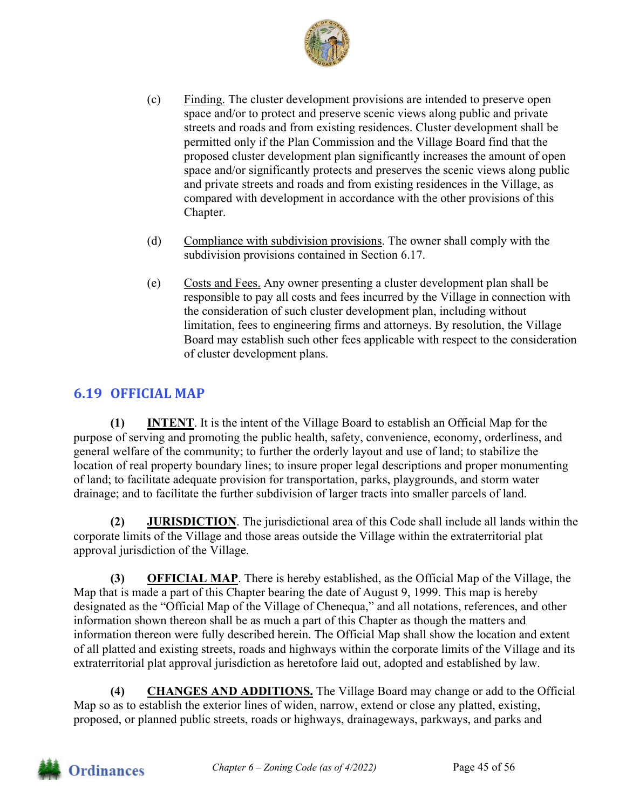

- (c) Finding. The cluster development provisions are intended to preserve open space and/or to protect and preserve scenic views along public and private streets and roads and from existing residences. Cluster development shall be permitted only if the Plan Commission and the Village Board find that the proposed cluster development plan significantly increases the amount of open space and/or significantly protects and preserves the scenic views along public and private streets and roads and from existing residences in the Village, as compared with development in accordance with the other provisions of this Chapter.
- (d) Compliance with subdivision provisions. The owner shall comply with the subdivision provisions contained in Section 6.17.
- (e) Costs and Fees. Any owner presenting a cluster development plan shall be responsible to pay all costs and fees incurred by the Village in connection with the consideration of such cluster development plan, including without limitation, fees to engineering firms and attorneys. By resolution, the Village Board may establish such other fees applicable with respect to the consideration of cluster development plans.

## **6.19 OFFICIAL MAP**

**(1) INTENT**. It is the intent of the Village Board to establish an Official Map for the purpose of serving and promoting the public health, safety, convenience, economy, orderliness, and general welfare of the community; to further the orderly layout and use of land; to stabilize the location of real property boundary lines; to insure proper legal descriptions and proper monumenting of land; to facilitate adequate provision for transportation, parks, playgrounds, and storm water drainage; and to facilitate the further subdivision of larger tracts into smaller parcels of land.

**(2) JURISDICTION**. The jurisdictional area of this Code shall include all lands within the corporate limits of the Village and those areas outside the Village within the extraterritorial plat approval jurisdiction of the Village.

**(3) OFFICIAL MAP**. There is hereby established, as the Official Map of the Village, the Map that is made a part of this Chapter bearing the date of August 9, 1999. This map is hereby designated as the "Official Map of the Village of Chenequa," and all notations, references, and other information shown thereon shall be as much a part of this Chapter as though the matters and information thereon were fully described herein. The Official Map shall show the location and extent of all platted and existing streets, roads and highways within the corporate limits of the Village and its extraterritorial plat approval jurisdiction as heretofore laid out, adopted and established by law.

**(4) CHANGES AND ADDITIONS.** The Village Board may change or add to the Official Map so as to establish the exterior lines of widen, narrow, extend or close any platted, existing, proposed, or planned public streets, roads or highways, drainageways, parkways, and parks and

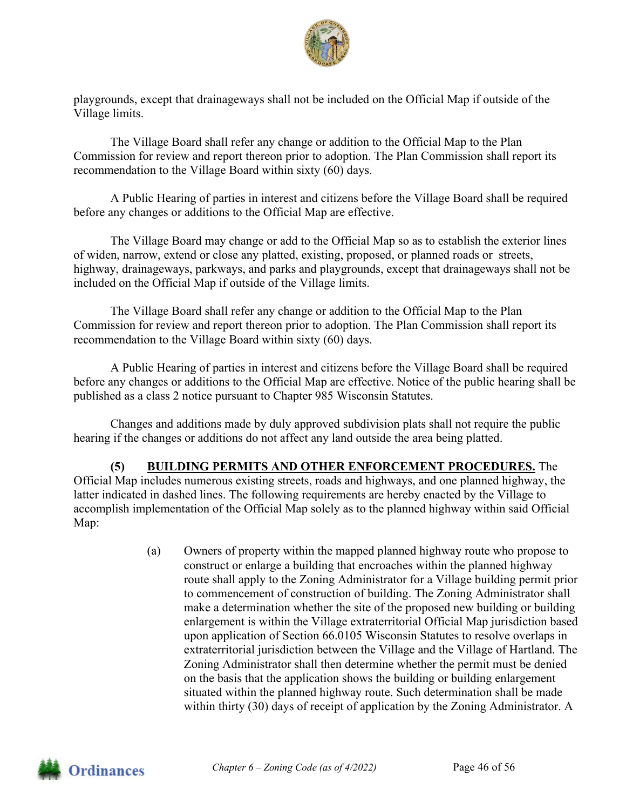

playgrounds, except that drainageways shall not be included on the Official Map if outside of the Village limits.

 The Village Board shall refer any change or addition to the Official Map to the Plan Commission for review and report thereon prior to adoption. The Plan Commission shall report its recommendation to the Village Board within sixty (60) days.

 A Public Hearing of parties in interest and citizens before the Village Board shall be required before any changes or additions to the Official Map are effective.

The Village Board may change or add to the Official Map so as to establish the exterior lines of widen, narrow, extend or close any platted, existing, proposed, or planned roads or streets, highway, drainageways, parkways, and parks and playgrounds, except that drainageways shall not be included on the Official Map if outside of the Village limits.

 The Village Board shall refer any change or addition to the Official Map to the Plan Commission for review and report thereon prior to adoption. The Plan Commission shall report its recommendation to the Village Board within sixty (60) days.

 A Public Hearing of parties in interest and citizens before the Village Board shall be required before any changes or additions to the Official Map are effective. Notice of the public hearing shall be published as a class 2 notice pursuant to Chapter 985 Wisconsin Statutes.

 Changes and additions made by duly approved subdivision plats shall not require the public hearing if the changes or additions do not affect any land outside the area being platted.

#### **(5) BUILDING PERMITS AND OTHER ENFORCEMENT PROCEDURES.** The Official Map includes numerous existing streets, roads and highways, and one planned highway, the latter indicated in dashed lines. The following requirements are hereby enacted by the Village to accomplish implementation of the Official Map solely as to the planned highway within said Official

(a) Owners of property within the mapped planned highway route who propose to construct or enlarge a building that encroaches within the planned highway route shall apply to the Zoning Administrator for a Village building permit prior to commencement of construction of building. The Zoning Administrator shall make a determination whether the site of the proposed new building or building enlargement is within the Village extraterritorial Official Map jurisdiction based upon application of Section 66.0105 Wisconsin Statutes to resolve overlaps in extraterritorial jurisdiction between the Village and the Village of Hartland. The Zoning Administrator shall then determine whether the permit must be denied on the basis that the application shows the building or building enlargement situated within the planned highway route. Such determination shall be made within thirty (30) days of receipt of application by the Zoning Administrator. A



Map: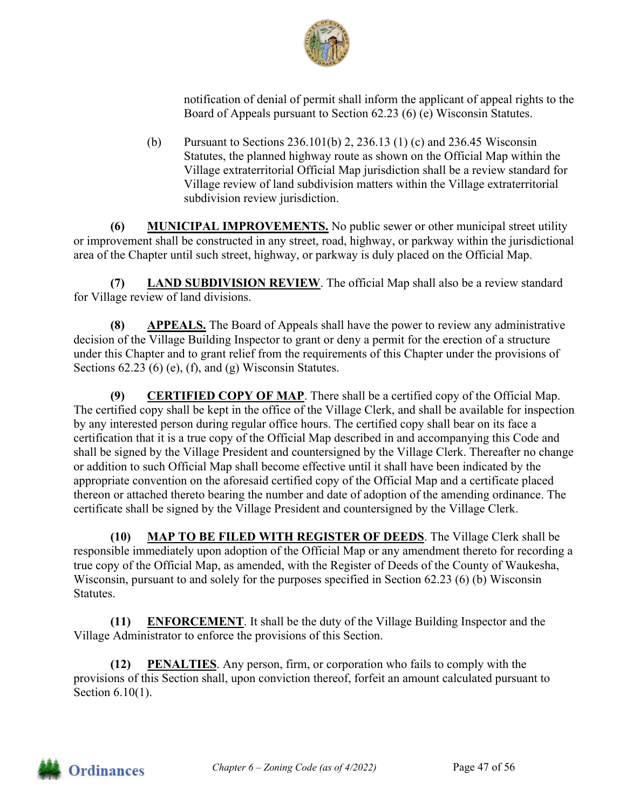

notification of denial of permit shall inform the applicant of appeal rights to the Board of Appeals pursuant to Section 62.23 (6) (e) Wisconsin Statutes.

(b) Pursuant to Sections 236.101(b) 2, 236.13 (1) (c) and 236.45 Wisconsin Statutes, the planned highway route as shown on the Official Map within the Village extraterritorial Official Map jurisdiction shall be a review standard for Village review of land subdivision matters within the Village extraterritorial subdivision review jurisdiction.

**(6) MUNICIPAL IMPROVEMENTS.** No public sewer or other municipal street utility or improvement shall be constructed in any street, road, highway, or parkway within the jurisdictional area of the Chapter until such street, highway, or parkway is duly placed on the Official Map.

**(7) LAND SUBDIVISION REVIEW**. The official Map shall also be a review standard for Village review of land divisions.

**(8) APPEALS.** The Board of Appeals shall have the power to review any administrative decision of the Village Building Inspector to grant or deny a permit for the erection of a structure under this Chapter and to grant relief from the requirements of this Chapter under the provisions of Sections 62.23 (6) (e), (f), and (g) Wisconsin Statutes.

**(9) CERTIFIED COPY OF MAP**. There shall be a certified copy of the Official Map. The certified copy shall be kept in the office of the Village Clerk, and shall be available for inspection by any interested person during regular office hours. The certified copy shall bear on its face a certification that it is a true copy of the Official Map described in and accompanying this Code and shall be signed by the Village President and countersigned by the Village Clerk. Thereafter no change or addition to such Official Map shall become effective until it shall have been indicated by the appropriate convention on the aforesaid certified copy of the Official Map and a certificate placed thereon or attached thereto bearing the number and date of adoption of the amending ordinance. The certificate shall be signed by the Village President and countersigned by the Village Clerk.

**(10) MAP TO BE FILED WITH REGISTER OF DEEDS**. The Village Clerk shall be responsible immediately upon adoption of the Official Map or any amendment thereto for recording a true copy of the Official Map, as amended, with the Register of Deeds of the County of Waukesha, Wisconsin, pursuant to and solely for the purposes specified in Section 62.23 (6) (b) Wisconsin Statutes.

**(11) ENFORCEMENT**. It shall be the duty of the Village Building Inspector and the Village Administrator to enforce the provisions of this Section.

**(12) PENALTIES**. Any person, firm, or corporation who fails to comply with the provisions of this Section shall, upon conviction thereof, forfeit an amount calculated pursuant to Section 6.10(1).

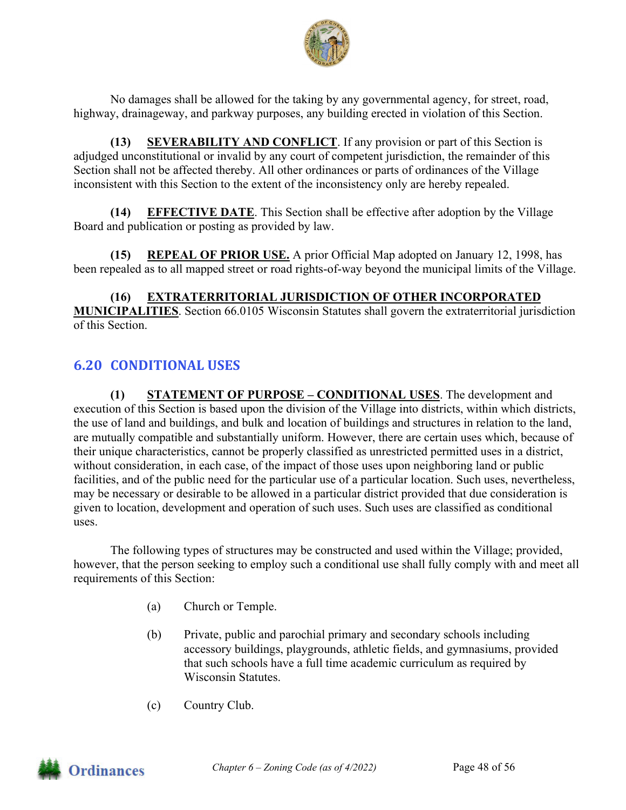

No damages shall be allowed for the taking by any governmental agency, for street, road, highway, drainageway, and parkway purposes, any building erected in violation of this Section.

**(13) SEVERABILITY AND CONFLICT**. If any provision or part of this Section is adjudged unconstitutional or invalid by any court of competent jurisdiction, the remainder of this Section shall not be affected thereby. All other ordinances or parts of ordinances of the Village inconsistent with this Section to the extent of the inconsistency only are hereby repealed.

**(14) EFFECTIVE DATE**. This Section shall be effective after adoption by the Village Board and publication or posting as provided by law.

**(15) REPEAL OF PRIOR USE.** A prior Official Map adopted on January 12, 1998, has been repealed as to all mapped street or road rights-of-way beyond the municipal limits of the Village.

**(16) EXTRATERRITORIAL JURISDICTION OF OTHER INCORPORATED MUNICIPALITIES**. Section 66.0105 Wisconsin Statutes shall govern the extraterritorial jurisdiction of this Section.

## **6.20 CONDITIONAL USES**

**(1) STATEMENT OF PURPOSE – CONDITIONAL USES**. The development and execution of this Section is based upon the division of the Village into districts, within which districts, the use of land and buildings, and bulk and location of buildings and structures in relation to the land, are mutually compatible and substantially uniform. However, there are certain uses which, because of their unique characteristics, cannot be properly classified as unrestricted permitted uses in a district, without consideration, in each case, of the impact of those uses upon neighboring land or public facilities, and of the public need for the particular use of a particular location. Such uses, nevertheless, may be necessary or desirable to be allowed in a particular district provided that due consideration is given to location, development and operation of such uses. Such uses are classified as conditional uses.

The following types of structures may be constructed and used within the Village; provided, however, that the person seeking to employ such a conditional use shall fully comply with and meet all requirements of this Section:

- (a) Church or Temple.
- (b) Private, public and parochial primary and secondary schools including accessory buildings, playgrounds, athletic fields, and gymnasiums, provided that such schools have a full time academic curriculum as required by Wisconsin Statutes.
- (c) Country Club.

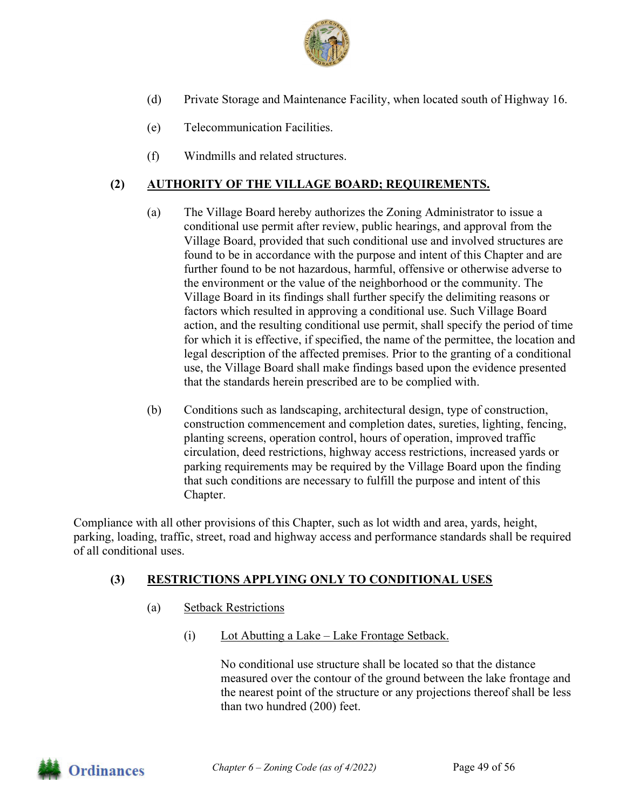

- (d) Private Storage and Maintenance Facility, when located south of Highway 16.
- (e) Telecommunication Facilities.
- (f) Windmills and related structures.

#### **(2) AUTHORITY OF THE VILLAGE BOARD; REQUIREMENTS.**

- (a) The Village Board hereby authorizes the Zoning Administrator to issue a conditional use permit after review, public hearings, and approval from the Village Board, provided that such conditional use and involved structures are found to be in accordance with the purpose and intent of this Chapter and are further found to be not hazardous, harmful, offensive or otherwise adverse to the environment or the value of the neighborhood or the community. The Village Board in its findings shall further specify the delimiting reasons or factors which resulted in approving a conditional use. Such Village Board action, and the resulting conditional use permit, shall specify the period of time for which it is effective, if specified, the name of the permittee, the location and legal description of the affected premises. Prior to the granting of a conditional use, the Village Board shall make findings based upon the evidence presented that the standards herein prescribed are to be complied with.
- (b) Conditions such as landscaping, architectural design, type of construction, construction commencement and completion dates, sureties, lighting, fencing, planting screens, operation control, hours of operation, improved traffic circulation, deed restrictions, highway access restrictions, increased yards or parking requirements may be required by the Village Board upon the finding that such conditions are necessary to fulfill the purpose and intent of this Chapter.

Compliance with all other provisions of this Chapter, such as lot width and area, yards, height, parking, loading, traffic, street, road and highway access and performance standards shall be required of all conditional uses.

#### **(3) RESTRICTIONS APPLYING ONLY TO CONDITIONAL USES**

- (a) Setback Restrictions
	- (i) Lot Abutting a Lake Lake Frontage Setback.

 No conditional use structure shall be located so that the distance measured over the contour of the ground between the lake frontage and the nearest point of the structure or any projections thereof shall be less than two hundred (200) feet.

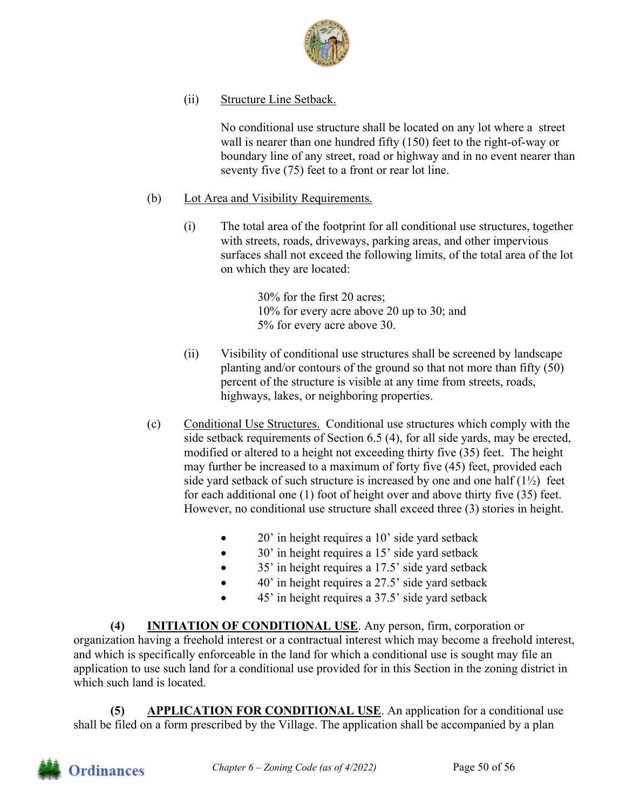

(ii) Structure Line Setback.

 No conditional use structure shall be located on any lot where a street wall is nearer than one hundred fifty (150) feet to the right-of-way or boundary line of any street, road or highway and in no event nearer than seventy five (75) feet to a front or rear lot line.

- (b) Lot Area and Visibility Requirements.
	- (i) The total area of the footprint for all conditional use structures, together with streets, roads, driveways, parking areas, and other impervious surfaces shall not exceed the following limits, of the total area of the lot on which they are located:

 30% for the first 20 acres; 10% for every acre above 20 up to 30; and 5% for every acre above 30.

- (ii) Visibility of conditional use structures shall be screened by landscape planting and/or contours of the ground so that not more than fifty (50) percent of the structure is visible at any time from streets, roads, highways, lakes, or neighboring properties.
- (c) Conditional Use Structures. Conditional use structures which comply with the side setback requirements of Section 6.5 (4), for all side yards, may be erected, modified or altered to a height not exceeding thirty five (35) feet. The height may further be increased to a maximum of forty five (45) feet, provided each side yard setback of such structure is increased by one and one half  $(1\frac{1}{2})$  feet for each additional one (1) foot of height over and above thirty five (35) feet. However, no conditional use structure shall exceed three (3) stories in height.
	- 20' in height requires a 10' side yard setback
	- 30' in height requires a 15' side yard setback
	- 35' in height requires a 17.5' side yard setback
	- 40' in height requires a 27.5' side yard setback
	- 45' in height requires a 37.5' side yard setback

**(4) INITIATION OF CONDITIONAL USE**. Any person, firm, corporation or organization having a freehold interest or a contractual interest which may become a freehold interest, and which is specifically enforceable in the land for which a conditional use is sought may file an application to use such land for a conditional use provided for in this Section in the zoning district in which such land is located.

**(5) APPLICATION FOR CONDITIONAL USE**. An application for a conditional use shall be filed on a form prescribed by the Village. The application shall be accompanied by a plan

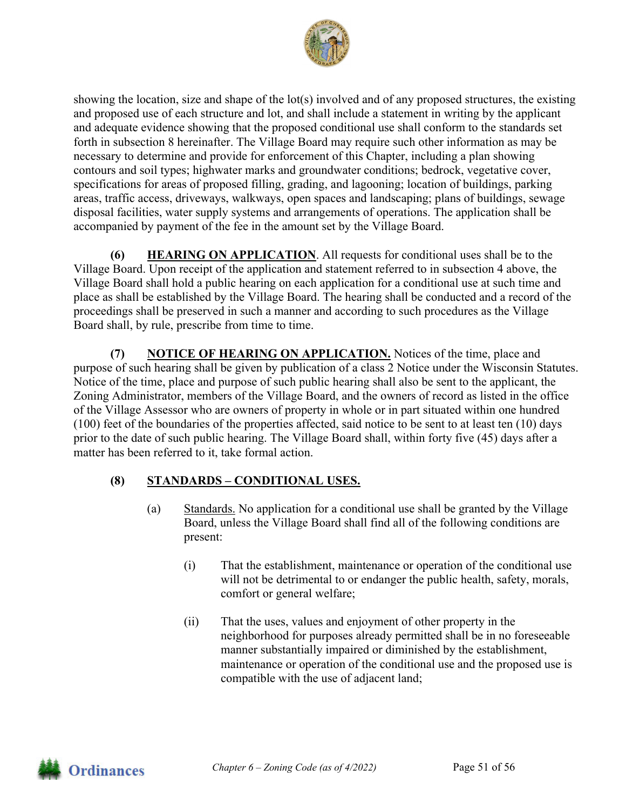

showing the location, size and shape of the lot(s) involved and of any proposed structures, the existing and proposed use of each structure and lot, and shall include a statement in writing by the applicant and adequate evidence showing that the proposed conditional use shall conform to the standards set forth in subsection 8 hereinafter. The Village Board may require such other information as may be necessary to determine and provide for enforcement of this Chapter, including a plan showing contours and soil types; highwater marks and groundwater conditions; bedrock, vegetative cover, specifications for areas of proposed filling, grading, and lagooning; location of buildings, parking areas, traffic access, driveways, walkways, open spaces and landscaping; plans of buildings, sewage disposal facilities, water supply systems and arrangements of operations. The application shall be accompanied by payment of the fee in the amount set by the Village Board.

**(6) HEARING ON APPLICATION**. All requests for conditional uses shall be to the Village Board. Upon receipt of the application and statement referred to in subsection 4 above, the Village Board shall hold a public hearing on each application for a conditional use at such time and place as shall be established by the Village Board. The hearing shall be conducted and a record of the proceedings shall be preserved in such a manner and according to such procedures as the Village Board shall, by rule, prescribe from time to time.

**(7) NOTICE OF HEARING ON APPLICATION.** Notices of the time, place and purpose of such hearing shall be given by publication of a class 2 Notice under the Wisconsin Statutes. Notice of the time, place and purpose of such public hearing shall also be sent to the applicant, the Zoning Administrator, members of the Village Board, and the owners of record as listed in the office of the Village Assessor who are owners of property in whole or in part situated within one hundred (100) feet of the boundaries of the properties affected, said notice to be sent to at least ten (10) days prior to the date of such public hearing. The Village Board shall, within forty five (45) days after a matter has been referred to it, take formal action.

## **(8) STANDARDS – CONDITIONAL USES.**

- (a) Standards. No application for a conditional use shall be granted by the Village Board, unless the Village Board shall find all of the following conditions are present:
	- (i) That the establishment, maintenance or operation of the conditional use will not be detrimental to or endanger the public health, safety, morals, comfort or general welfare;
	- (ii) That the uses, values and enjoyment of other property in the neighborhood for purposes already permitted shall be in no foreseeable manner substantially impaired or diminished by the establishment, maintenance or operation of the conditional use and the proposed use is compatible with the use of adjacent land;

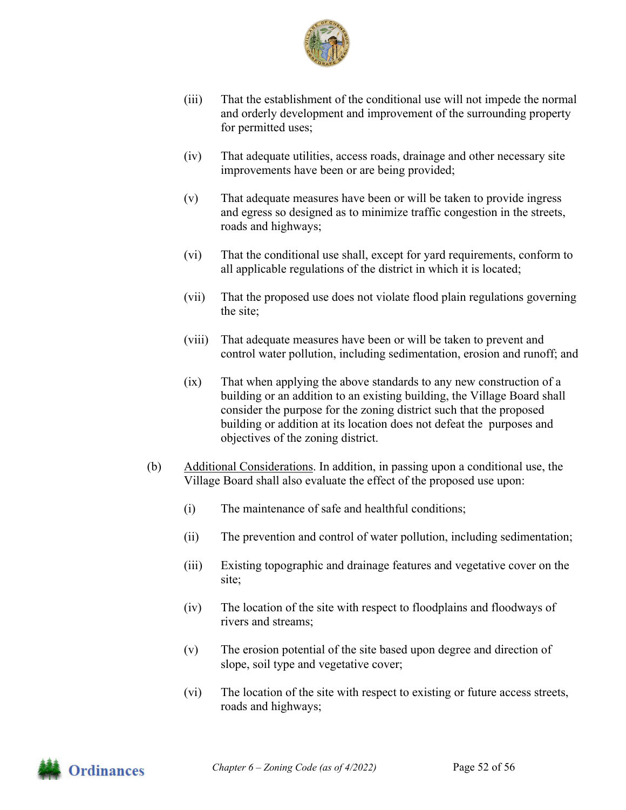

- (iii) That the establishment of the conditional use will not impede the normal and orderly development and improvement of the surrounding property for permitted uses;
- (iv) That adequate utilities, access roads, drainage and other necessary site improvements have been or are being provided;
- (v) That adequate measures have been or will be taken to provide ingress and egress so designed as to minimize traffic congestion in the streets, roads and highways;
- (vi) That the conditional use shall, except for yard requirements, conform to all applicable regulations of the district in which it is located;
- (vii) That the proposed use does not violate flood plain regulations governing the site;
- (viii) That adequate measures have been or will be taken to prevent and control water pollution, including sedimentation, erosion and runoff; and
- (ix) That when applying the above standards to any new construction of a building or an addition to an existing building, the Village Board shall consider the purpose for the zoning district such that the proposed building or addition at its location does not defeat the purposes and objectives of the zoning district.
- (b) Additional Considerations. In addition, in passing upon a conditional use, the Village Board shall also evaluate the effect of the proposed use upon:
	- (i) The maintenance of safe and healthful conditions;
	- (ii) The prevention and control of water pollution, including sedimentation;
	- (iii) Existing topographic and drainage features and vegetative cover on the site;
	- (iv) The location of the site with respect to floodplains and floodways of rivers and streams;
	- (v) The erosion potential of the site based upon degree and direction of slope, soil type and vegetative cover;
	- (vi) The location of the site with respect to existing or future access streets, roads and highways;

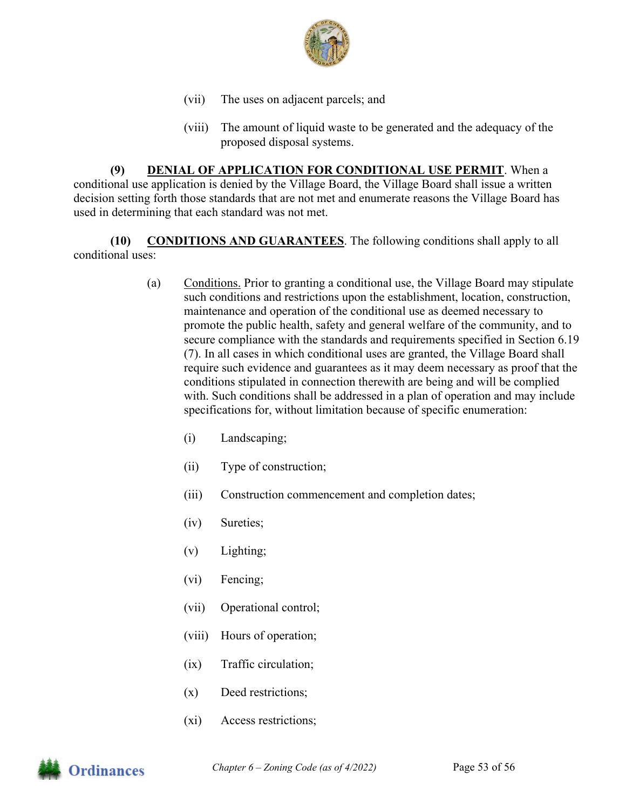

- (vii) The uses on adjacent parcels; and
- (viii) The amount of liquid waste to be generated and the adequacy of the proposed disposal systems.

**(9) DENIAL OF APPLICATION FOR CONDITIONAL USE PERMIT**. When a conditional use application is denied by the Village Board, the Village Board shall issue a written decision setting forth those standards that are not met and enumerate reasons the Village Board has used in determining that each standard was not met.

**(10) CONDITIONS AND GUARANTEES**. The following conditions shall apply to all conditional uses:

- (a) Conditions. Prior to granting a conditional use, the Village Board may stipulate such conditions and restrictions upon the establishment, location, construction, maintenance and operation of the conditional use as deemed necessary to promote the public health, safety and general welfare of the community, and to secure compliance with the standards and requirements specified in Section 6.19 (7). In all cases in which conditional uses are granted, the Village Board shall require such evidence and guarantees as it may deem necessary as proof that the conditions stipulated in connection therewith are being and will be complied with. Such conditions shall be addressed in a plan of operation and may include specifications for, without limitation because of specific enumeration:
	- (i) Landscaping;
	- (ii) Type of construction;
	- (iii) Construction commencement and completion dates;
	- (iv) Sureties;
	- (v) Lighting;
	- (vi) Fencing;
	- (vii) Operational control;
	- (viii) Hours of operation;
	- (ix) Traffic circulation;
	- (x) Deed restrictions;
	- (xi) Access restrictions;

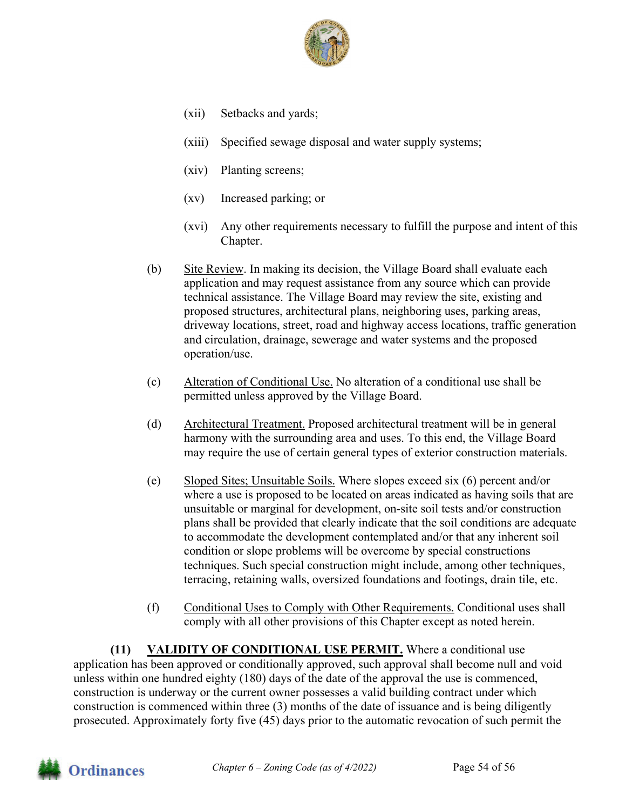

- (xii) Setbacks and yards;
- (xiii) Specified sewage disposal and water supply systems;
- (xiv) Planting screens;
- (xv) Increased parking; or
- (xvi) Any other requirements necessary to fulfill the purpose and intent of this Chapter.
- (b) Site Review. In making its decision, the Village Board shall evaluate each application and may request assistance from any source which can provide technical assistance. The Village Board may review the site, existing and proposed structures, architectural plans, neighboring uses, parking areas, driveway locations, street, road and highway access locations, traffic generation and circulation, drainage, sewerage and water systems and the proposed operation/use.
- (c) Alteration of Conditional Use. No alteration of a conditional use shall be permitted unless approved by the Village Board.
- (d) Architectural Treatment. Proposed architectural treatment will be in general harmony with the surrounding area and uses. To this end, the Village Board may require the use of certain general types of exterior construction materials.
- (e) Sloped Sites; Unsuitable Soils. Where slopes exceed six (6) percent and/or where a use is proposed to be located on areas indicated as having soils that are unsuitable or marginal for development, on-site soil tests and/or construction plans shall be provided that clearly indicate that the soil conditions are adequate to accommodate the development contemplated and/or that any inherent soil condition or slope problems will be overcome by special constructions techniques. Such special construction might include, among other techniques, terracing, retaining walls, oversized foundations and footings, drain tile, etc.
- (f) Conditional Uses to Comply with Other Requirements. Conditional uses shall comply with all other provisions of this Chapter except as noted herein.

**(11) VALIDITY OF CONDITIONAL USE PERMIT.** Where a conditional use application has been approved or conditionally approved, such approval shall become null and void unless within one hundred eighty (180) days of the date of the approval the use is commenced, construction is underway or the current owner possesses a valid building contract under which construction is commenced within three (3) months of the date of issuance and is being diligently prosecuted. Approximately forty five (45) days prior to the automatic revocation of such permit the

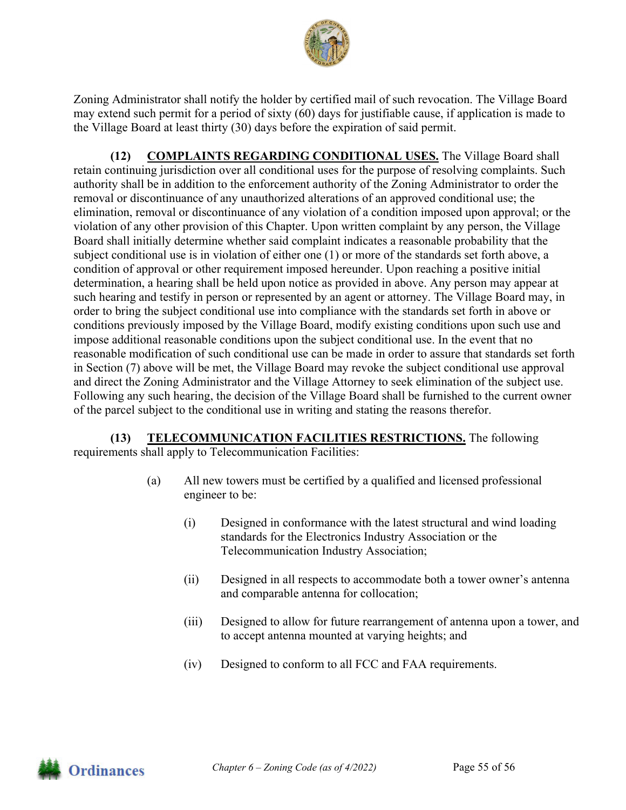

Zoning Administrator shall notify the holder by certified mail of such revocation. The Village Board may extend such permit for a period of sixty (60) days for justifiable cause, if application is made to the Village Board at least thirty (30) days before the expiration of said permit.

**(12) COMPLAINTS REGARDING CONDITIONAL USES.** The Village Board shall retain continuing jurisdiction over all conditional uses for the purpose of resolving complaints. Such authority shall be in addition to the enforcement authority of the Zoning Administrator to order the removal or discontinuance of any unauthorized alterations of an approved conditional use; the elimination, removal or discontinuance of any violation of a condition imposed upon approval; or the violation of any other provision of this Chapter. Upon written complaint by any person, the Village Board shall initially determine whether said complaint indicates a reasonable probability that the subject conditional use is in violation of either one (1) or more of the standards set forth above, a condition of approval or other requirement imposed hereunder. Upon reaching a positive initial determination, a hearing shall be held upon notice as provided in above. Any person may appear at such hearing and testify in person or represented by an agent or attorney. The Village Board may, in order to bring the subject conditional use into compliance with the standards set forth in above or conditions previously imposed by the Village Board, modify existing conditions upon such use and impose additional reasonable conditions upon the subject conditional use. In the event that no reasonable modification of such conditional use can be made in order to assure that standards set forth in Section (7) above will be met, the Village Board may revoke the subject conditional use approval and direct the Zoning Administrator and the Village Attorney to seek elimination of the subject use. Following any such hearing, the decision of the Village Board shall be furnished to the current owner of the parcel subject to the conditional use in writing and stating the reasons therefor.

**(13) TELECOMMUNICATION FACILITIES RESTRICTIONS.** The following requirements shall apply to Telecommunication Facilities:

- (a) All new towers must be certified by a qualified and licensed professional engineer to be:
	- (i) Designed in conformance with the latest structural and wind loading standards for the Electronics Industry Association or the Telecommunication Industry Association;
	- (ii) Designed in all respects to accommodate both a tower owner's antenna and comparable antenna for collocation;
	- (iii) Designed to allow for future rearrangement of antenna upon a tower, and to accept antenna mounted at varying heights; and
	- (iv) Designed to conform to all FCC and FAA requirements.